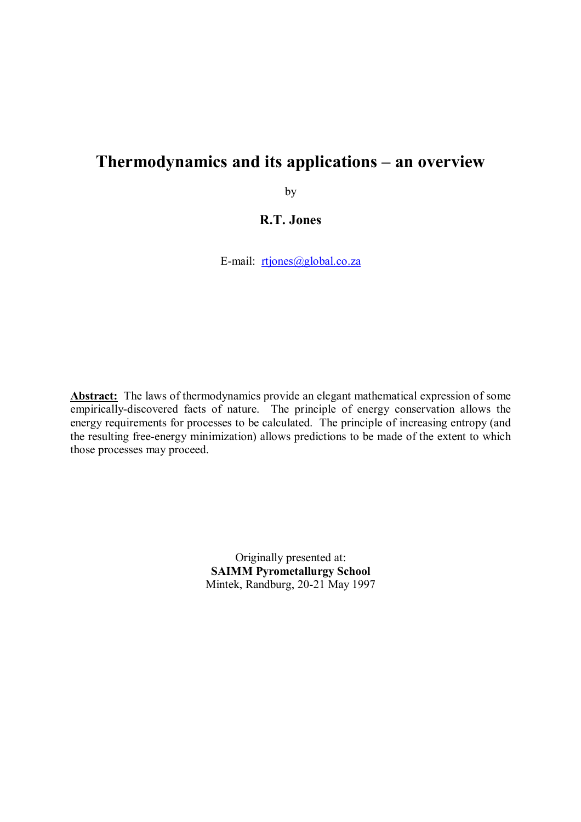# **Thermodynamics and its applications – an overview**

by

**R.T. Jones** 

E-mail: [rtjones@global.co.za](mailto:rtjones@global.co.za)

Abstract: The laws of thermodynamics provide an elegant mathematical expression of some empirically-discovered facts of nature. The principle of energy conservation allows the energy requirements for processes to be calculated. The principle of increasing entropy (and the resulting free-energy minimization) allows predictions to be made of the extent to which those processes may proceed.

> Originally presented at: **SAIMM Pyrometallurgy School**  Mintek, Randburg, 20-21 May 1997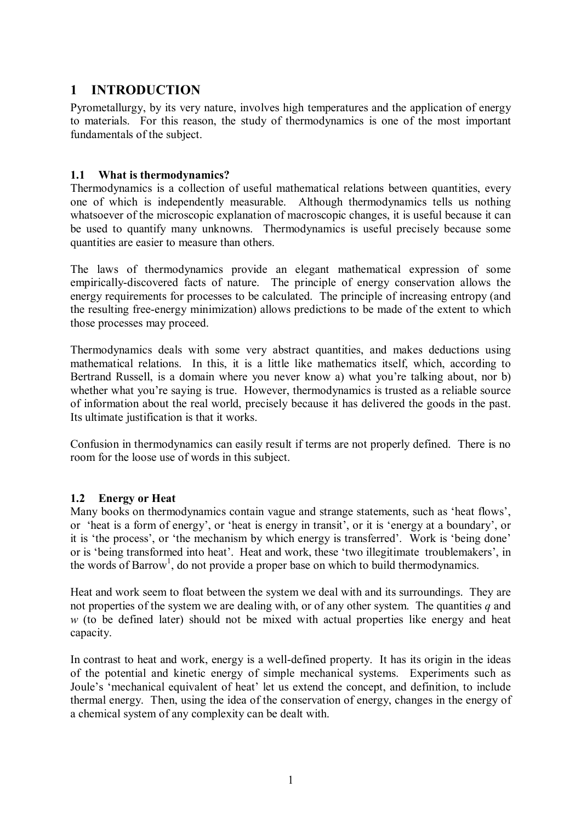# **1 INTRODUCTION**

Pyrometallurgy, by its very nature, involves high temperatures and the application of energy to materials. For this reason, the study of thermodynamics is one of the most important fundamentals of the subject.

### **1.1 What is thermodynamics?**

Thermodynamics is a collection of useful mathematical relations between quantities, every one of which is independently measurable. Although thermodynamics tells us nothing whatsoever of the microscopic explanation of macroscopic changes, it is useful because it can be used to quantify many unknowns. Thermodynamics is useful precisely because some quantities are easier to measure than others.

The laws of thermodynamics provide an elegant mathematical expression of some empirically-discovered facts of nature. The principle of energy conservation allows the energy requirements for processes to be calculated. The principle of increasing entropy (and the resulting free-energy minimization) allows predictions to be made of the extent to which those processes may proceed.

Thermodynamics deals with some very abstract quantities, and makes deductions using mathematical relations. In this, it is a little like mathematics itself, which, according to Bertrand Russell, is a domain where you never know a) what you're talking about, nor b) whether what you're saying is true. However, thermodynamics is trusted as a reliable source of information about the real world, precisely because it has delivered the goods in the past. Its ultimate justification is that it works.

Confusion in thermodynamics can easily result if terms are not properly defined. There is no room for the loose use of words in this subject.

### **1.2 Energy or Heat**

Many books on thermodynamics contain vague and strange statements, such as 'heat flows', or 'heat is a form of energy', or 'heat is energy in transit', or it is 'energy at a boundary', or it is 'the process', or 'the mechanism by which energy is transferred'. Work is 'being done' or is 'being transformed into heat'. Heat and work, these 'two illegitimate troublemakers', in the words of Barrow<sup>1</sup>, do not provide a proper base on which to build thermodynamics.

Heat and work seem to float between the system we deal with and its surroundings. They are not properties of the system we are dealing with, or of any other system. The quantities *q* and *w* (to be defined later) should not be mixed with actual properties like energy and heat capacity.

In contrast to heat and work, energy is a well-defined property. It has its origin in the ideas of the potential and kinetic energy of simple mechanical systems. Experiments such as Joule's 'mechanical equivalent of heat' let us extend the concept, and definition, to include thermal energy. Then, using the idea of the conservation of energy, changes in the energy of a chemical system of any complexity can be dealt with.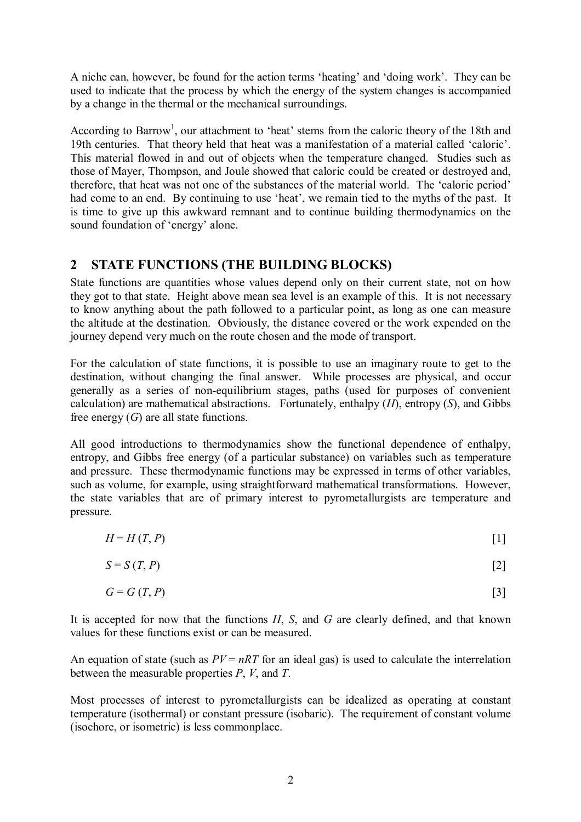A niche can, however, be found for the action terms 'heating' and 'doing work'. They can be used to indicate that the process by which the energy of the system changes is accompanied by a change in the thermal or the mechanical surroundings.

According to Barrow<sup>1</sup>, our attachment to 'heat' stems from the caloric theory of the 18th and 19th centuries. That theory held that heat was a manifestation of a material called 'caloric'. This material flowed in and out of objects when the temperature changed. Studies such as those of Mayer, Thompson, and Joule showed that caloric could be created or destroyed and, therefore, that heat was not one of the substances of the material world. The 'caloric period' had come to an end. By continuing to use 'heat', we remain tied to the myths of the past. It is time to give up this awkward remnant and to continue building thermodynamics on the sound foundation of 'energy' alone.

# **2 STATE FUNCTIONS (THE BUILDING BLOCKS)**

State functions are quantities whose values depend only on their current state, not on how they got to that state. Height above mean sea level is an example of this. It is not necessary to know anything about the path followed to a particular point, as long as one can measure the altitude at the destination. Obviously, the distance covered or the work expended on the journey depend very much on the route chosen and the mode of transport.

For the calculation of state functions, it is possible to use an imaginary route to get to the destination, without changing the final answer. While processes are physical, and occur generally as a series of non-equilibrium stages, paths (used for purposes of convenient calculation) are mathematical abstractions. Fortunately, enthalpy (*H*), entropy (*S*), and Gibbs free energy (*G*) are all state functions.

All good introductions to thermodynamics show the functional dependence of enthalpy, entropy, and Gibbs free energy (of a particular substance) on variables such as temperature and pressure. These thermodynamic functions may be expressed in terms of other variables, such as volume, for example, using straightforward mathematical transformations. However, the state variables that are of primary interest to pyrometallurgists are temperature and pressure.

$$
H = H(T, P) \tag{1}
$$

$$
S = S(T, P) \tag{2}
$$

$$
G = G(T, P) \tag{3}
$$

It is accepted for now that the functions *H*, *S*, and *G* are clearly defined, and that known values for these functions exist or can be measured.

An equation of state (such as  $PV = nRT$  for an ideal gas) is used to calculate the interrelation between the measurable properties *P*, *V*, and *T*.

Most processes of interest to pyrometallurgists can be idealized as operating at constant temperature (isothermal) or constant pressure (isobaric). The requirement of constant volume (isochore, or isometric) is less commonplace.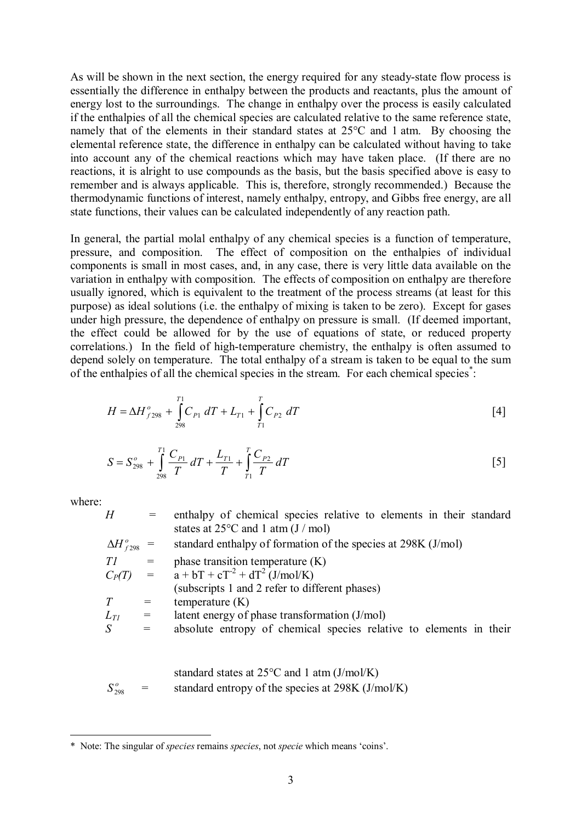As will be shown in the next section, the energy required for any steady-state flow process is essentially the difference in enthalpy between the products and reactants, plus the amount of energy lost to the surroundings. The change in enthalpy over the process is easily calculated if the enthalpies of all the chemical species are calculated relative to the same reference state, namely that of the elements in their standard states at 25°C and 1 atm. By choosing the elemental reference state, the difference in enthalpy can be calculated without having to take into account any of the chemical reactions which may have taken place. (If there are no reactions, it is alright to use compounds as the basis, but the basis specified above is easy to remember and is always applicable. This is, therefore, strongly recommended.) Because the thermodynamic functions of interest, namely enthalpy, entropy, and Gibbs free energy, are all state functions, their values can be calculated independently of any reaction path.

In general, the partial molal enthalpy of any chemical species is a function of temperature, pressure, and composition. The effect of composition on the enthalpies of individual components is small in most cases, and, in any case, there is very little data available on the variation in enthalpy with composition. The effects of composition on enthalpy are therefore usually ignored, which is equivalent to the treatment of the process streams (at least for this purpose) as ideal solutions (i.e. the enthalpy of mixing is taken to be zero). Except for gases under high pressure, the dependence of enthalpy on pressure is small. (If deemed important, the effect could be allowed for by the use of equations of state, or reduced property correlations.) In the field of high-temperature chemistry, the enthalpy is often assumed to depend solely on temperature. The total enthalpy of a stream is taken to be equal to the sum of the enthalpies of all the chemical species in the stream. For each chemical species\* :

$$
H = \Delta H_{f298}^o + \int_{298}^{T_1} C_{P1} dT + L_{T_1} + \int_{T_1}^T C_{P2} dT
$$
 [4]

$$
S = S_{298}^o + \int_{298}^{T_1} \frac{C_{P1}}{T} dT + \frac{L_{T1}}{T} + \int_{T_1}^{T} \frac{C_{P2}}{T} dT
$$
 [5]

where:

 $\overline{a}$ 

| H                     |                   | enthalpy of chemical species relative to elements in their standard<br>states at $25^{\circ}$ C and 1 atm (J / mol) |
|-----------------------|-------------------|---------------------------------------------------------------------------------------------------------------------|
| $\Delta H_{f298}^o$ = |                   | standard enthalpy of formation of the species at 298K (J/mol)                                                       |
| TΙ                    | $=$               | phase transition temperature $(K)$                                                                                  |
| $C_P(T)$              | $\alpha = \alpha$ | $a + bT + cT^{-2} + dT^{2}$ (J/mol/K)                                                                               |
|                       |                   | (subscripts 1 and 2 refer to different phases)                                                                      |
| T                     | $=$               | temperature $(K)$                                                                                                   |
| $L_{TI}$              | $=$               | latent energy of phase transformation (J/mol)                                                                       |
| $S_{-}$               | $=$               | absolute entropy of chemical species relative to elements in their                                                  |
|                       |                   |                                                                                                                     |
|                       |                   |                                                                                                                     |

standard states at 25°C and 1 atm (J/mol/K)  $S^o_{298}$ = standard entropy of the species at 298K (J/mol/K)

<sup>\*</sup> Note: The singular of *species* remains *species*, not *specie* which means 'coins'.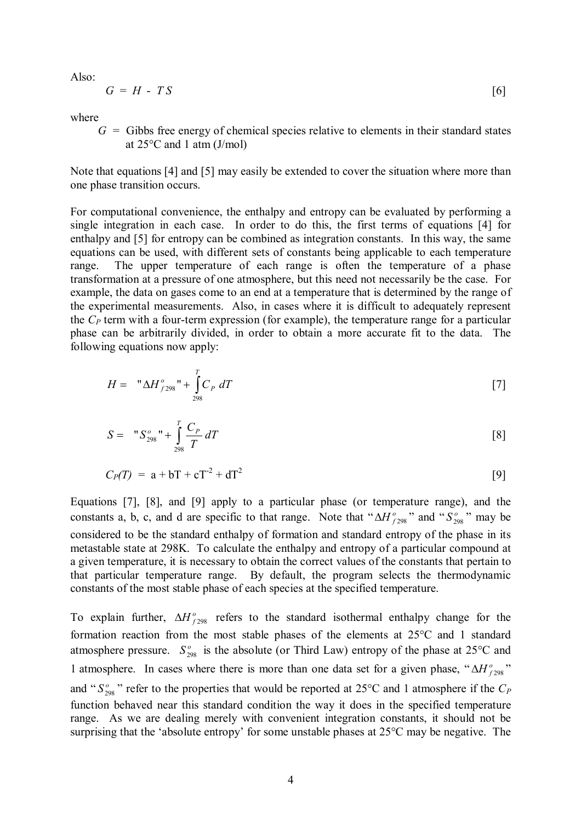Also:

$$
G = H - TS \tag{6}
$$

where

 $G = G$ ibbs free energy of chemical species relative to elements in their standard states at 25°C and 1 atm (J/mol)

Note that equations [4] and [5] may easily be extended to cover the situation where more than one phase transition occurs.

For computational convenience, the enthalpy and entropy can be evaluated by performing a single integration in each case. In order to do this, the first terms of equations [4] for enthalpy and [5] for entropy can be combined as integration constants. In this way, the same equations can be used, with different sets of constants being applicable to each temperature range. The upper temperature of each range is often the temperature of a phase transformation at a pressure of one atmosphere, but this need not necessarily be the case. For example, the data on gases come to an end at a temperature that is determined by the range of the experimental measurements. Also, in cases where it is difficult to adequately represent the *C<sup>P</sup>* term with a four-term expression (for example), the temperature range for a particular phase can be arbitrarily divided, in order to obtain a more accurate fit to the data. The following equations now apply:

$$
H = \text{``}\Delta H_{f298}^o \text{''} + \int_{298}^T C_P dT
$$
 [7]

$$
S = \t"S_{298}^o" + \int_{298}^T \frac{C_P}{T} dT
$$
 [8]

$$
C_P(T) = \mathbf{a} + \mathbf{b}T + \mathbf{c}T^2 + \mathbf{d}T^2
$$
 [9]

Equations [7], [8], and [9] apply to a particular phase (or temperature range), and the constants a, b, c, and d are specific to that range. Note that " $\Delta H_{f_{298}}^{\circ}$ " and " $S_{298}^{\circ}$ " may be considered to be the standard enthalpy of formation and standard entropy of the phase in its metastable state at 298K. To calculate the enthalpy and entropy of a particular compound at a given temperature, it is necessary to obtain the correct values of the constants that pertain to that particular temperature range. By default, the program selects the thermodynamic constants of the most stable phase of each species at the specified temperature.

To explain further,  $\Delta H_{f298}^{\circ}$  refers to the standard isothermal enthalpy change for the formation reaction from the most stable phases of the elements at 25°C and 1 standard atmosphere pressure.  $S_{298}^{\circ}$  is the absolute (or Third Law) entropy of the phase at 25<sup>o</sup>C and 1 atmosphere. In cases where there is more than one data set for a given phase, " $\Delta H_{f_2}^{\circ}$ " and " $S^o_{298}$ " refer to the properties that would be reported at 25°C and 1 atmosphere if the  $C_P$ function behaved near this standard condition the way it does in the specified temperature range. As we are dealing merely with convenient integration constants, it should not be surprising that the 'absolute entropy' for some unstable phases at 25°C may be negative. The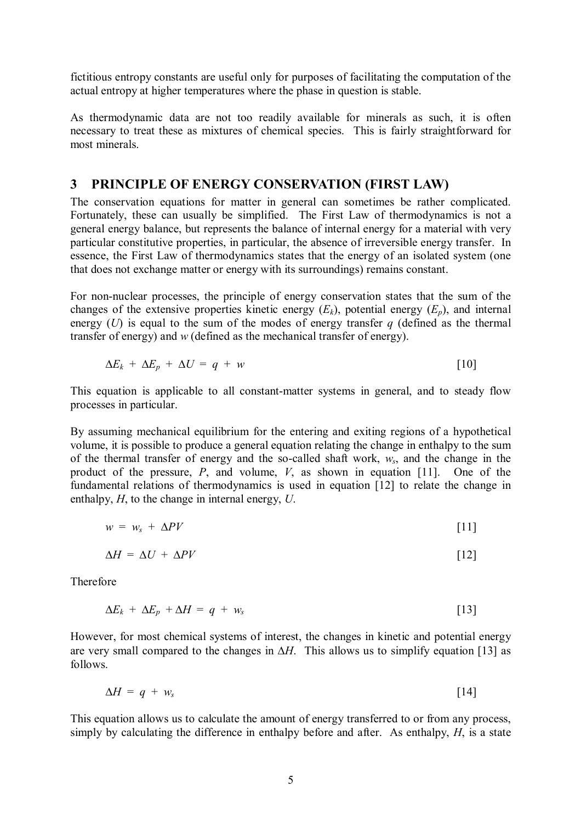fictitious entropy constants are useful only for purposes of facilitating the computation of the actual entropy at higher temperatures where the phase in question is stable.

As thermodynamic data are not too readily available for minerals as such, it is often necessary to treat these as mixtures of chemical species. This is fairly straightforward for most minerals.

### **3 PRINCIPLE OF ENERGY CONSERVATION (FIRST LAW)**

The conservation equations for matter in general can sometimes be rather complicated. Fortunately, these can usually be simplified. The First Law of thermodynamics is not a general energy balance, but represents the balance of internal energy for a material with very particular constitutive properties, in particular, the absence of irreversible energy transfer. In essence, the First Law of thermodynamics states that the energy of an isolated system (one that does not exchange matter or energy with its surroundings) remains constant.

For non-nuclear processes, the principle of energy conservation states that the sum of the changes of the extensive properties kinetic energy  $(E_k)$ , potential energy  $(E_p)$ , and internal energy  $(U)$  is equal to the sum of the modes of energy transfer *q* (defined as the thermal transfer of energy) and *w* (defined as the mechanical transfer of energy).

$$
\Delta E_k + \Delta E_p + \Delta U = q + w \tag{10}
$$

This equation is applicable to all constant-matter systems in general, and to steady flow processes in particular.

By assuming mechanical equilibrium for the entering and exiting regions of a hypothetical volume, it is possible to produce a general equation relating the change in enthalpy to the sum of the thermal transfer of energy and the so-called shaft work, *ws*, and the change in the product of the pressure, *P*, and volume, *V*, as shown in equation [11]. One of the fundamental relations of thermodynamics is used in equation [12] to relate the change in enthalpy, *H*, to the change in internal energy, *U*.

$$
w = w_s + \Delta P V \tag{11}
$$

$$
\Delta H = \Delta U + \Delta P V \tag{12}
$$

Therefore

$$
\Delta E_k + \Delta E_p + \Delta H = q + w_s \tag{13}
$$

However, for most chemical systems of interest, the changes in kinetic and potential energy are very small compared to the changes in  $\Delta H$ . This allows us to simplify equation [13] as follows.

$$
\Delta H = q + w_s \tag{14}
$$

This equation allows us to calculate the amount of energy transferred to or from any process, simply by calculating the difference in enthalpy before and after. As enthalpy, *H*, is a state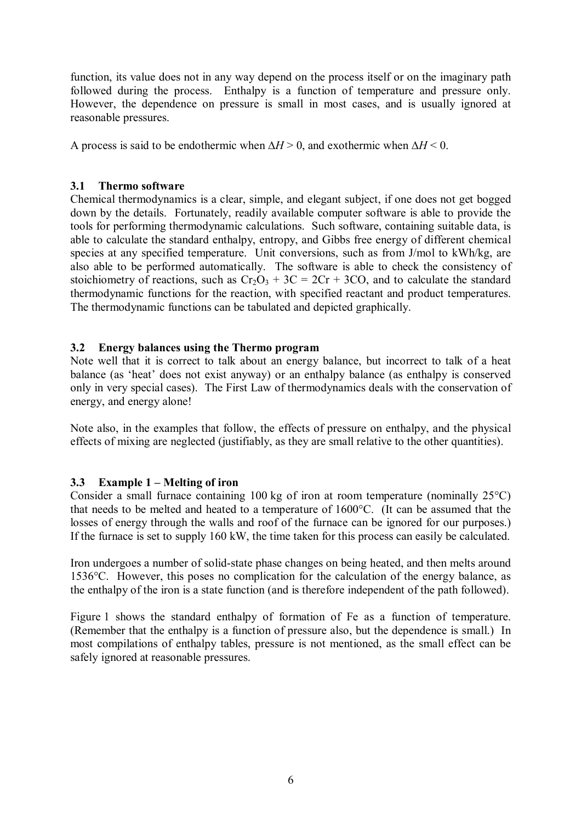function, its value does not in any way depend on the process itself or on the imaginary path followed during the process. Enthalpy is a function of temperature and pressure only. However, the dependence on pressure is small in most cases, and is usually ignored at reasonable pressures.

A process is said to be endothermic when  $\Delta H > 0$ , and exothermic when  $\Delta H < 0$ .

### **3.1 Thermo software**

Chemical thermodynamics is a clear, simple, and elegant subject, if one does not get bogged down by the details. Fortunately, readily available computer software is able to provide the tools for performing thermodynamic calculations. Such software, containing suitable data, is able to calculate the standard enthalpy, entropy, and Gibbs free energy of different chemical species at any specified temperature. Unit conversions, such as from J/mol to kWh/kg, are also able to be performed automatically. The software is able to check the consistency of stoichiometry of reactions, such as  $Cr_2O_3 + 3C = 2Cr + 3CO$ , and to calculate the standard thermodynamic functions for the reaction, with specified reactant and product temperatures. The thermodynamic functions can be tabulated and depicted graphically.

### **3.2 Energy balances using the Thermo program**

Note well that it is correct to talk about an energy balance, but incorrect to talk of a heat balance (as 'heat' does not exist anyway) or an enthalpy balance (as enthalpy is conserved only in very special cases). The First Law of thermodynamics deals with the conservation of energy, and energy alone!

Note also, in the examples that follow, the effects of pressure on enthalpy, and the physical effects of mixing are neglected (justifiably, as they are small relative to the other quantities).

### **3.3 Example 1 – Melting of iron**

Consider a small furnace containing 100 kg of iron at room temperature (nominally 25°C) that needs to be melted and heated to a temperature of 1600°C. (It can be assumed that the losses of energy through the walls and roof of the furnace can be ignored for our purposes.) If the furnace is set to supply 160 kW, the time taken for this process can easily be calculated.

Iron undergoes a number of solid-state phase changes on being heated, and then melts around 1536°C. However, this poses no complication for the calculation of the energy balance, as the enthalpy of the iron is a state function (and is therefore independent of the path followed).

Figure 1 shows the standard enthalpy of formation of Fe as a function of temperature. (Remember that the enthalpy is a function of pressure also, but the dependence is small.) In most compilations of enthalpy tables, pressure is not mentioned, as the small effect can be safely ignored at reasonable pressures.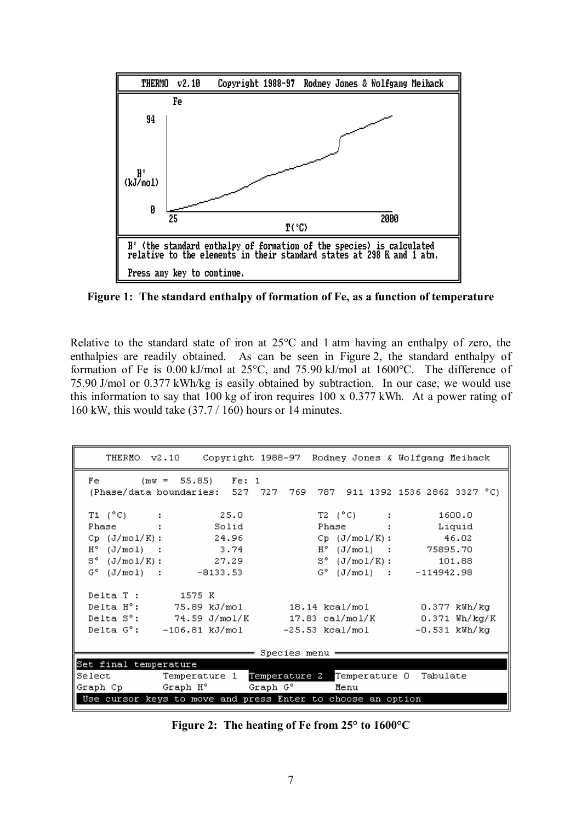

**Figure 1: The standard enthalpy of formation of Fe, as a function of temperature** 

Relative to the standard state of iron at 25°C and 1 atm having an enthalpy of zero, the enthalpies are readily obtained. As can be seen in Figure 2, the standard enthalpy of formation of Fe is 0.00 kJ/mol at 25°C, and 75.90 kJ/mol at 1600°C. The difference of 75.90 J/mol or 0.377 kWh/kg is easily obtained by subtraction. In our case, we would use this information to say that 100 kg of iron requires 100 x 0.377 kWh. At a power rating of 160 kW, this would take (37.7 / 160) hours or 14 minutes.

| THERMO v2.10                                             |                                                                                                                                        |                           | Copyright 1988-97 Rodney Jones & Wolfgang Meihack |                                                |
|----------------------------------------------------------|----------------------------------------------------------------------------------------------------------------------------------------|---------------------------|---------------------------------------------------|------------------------------------------------|
| Fe                                                       | $(mw = 55.85)$ Fe: 1<br>(Phase/data boundaries: 527 727 769                                                                            |                           | 787 911 1392 1536 2862 3327 °C)                   |                                                |
| T1 (°C) :                                                | 25.0                                                                                                                                   |                           | $T2$ (°C)                                         | 1600.0                                         |
| Phase                                                    | Solid                                                                                                                                  |                           | Phase :                                           | Liquid                                         |
| $Cp$ (J/mol/K):                                          | 24.96                                                                                                                                  |                           | $Cp$ (J/mol/K):                                   | 46.02                                          |
|                                                          | $H^{\circ}$ (J/mol) : 3.74                                                                                                             |                           | $H^{\circ}$ (J/mol) : 75895.70                    |                                                |
| $S^{\circ}$ (J/mol/K):                                   | 27.29                                                                                                                                  |                           | $\mathbb{S}^{\circ}$ (J/mol/K):                   | 101.88                                         |
| $G^{\circ}$ (J/mol) :                                    | $-8133.53$                                                                                                                             |                           | $G^{\circ}$ (J/mol) : $-114942.98$                |                                                |
| Delta T :<br>$Delta$ $H^{\circ}$ :                       | 1575 K<br>75.89 kJ/mol               18.14 kcal/mol<br>Delta S°: 74.59 J/mol/K 17.83 cal/mol/K<br>Delta $G^{\circ}$ : $-106.81$ kJ/mol |                           | $-25.53$ kcal/mol                                 | 0.377 kWh/kg<br>0.371 Wh/kg/K<br>-0.531 kWh/kq |
|                                                          |                                                                                                                                        | Species menu =            |                                                   |                                                |
| Set final temperature<br>Select<br>Graph Cphile Graph H° | Temperature 1                                                                                                                          | Temperature 2<br>Graph G° | Temperature 0<br>Menu                             | Tabulate                                       |
|                                                          | Use cursor keys to move and press Enter to choose an option                                                                            |                           |                                                   |                                                |

**Figure 2: The heating of Fe from 25° to 1600°C**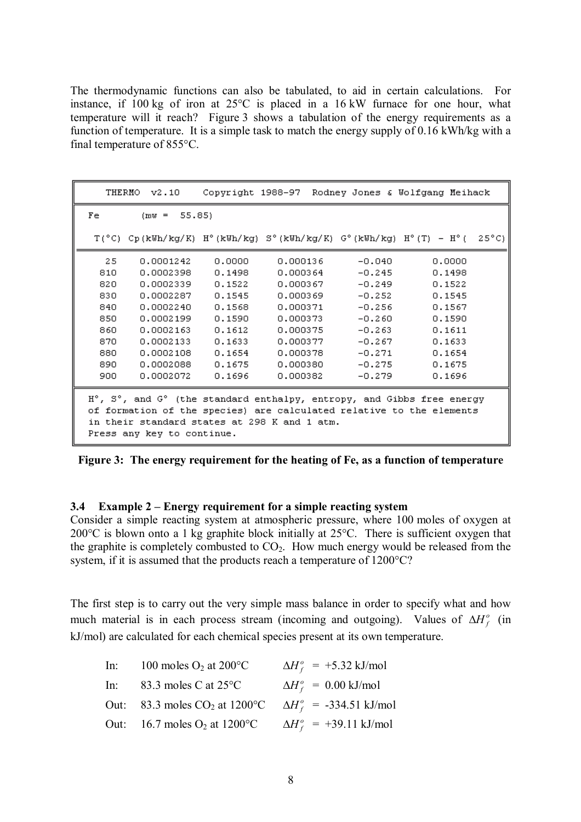The thermodynamic functions can also be tabulated, to aid in certain calculations. For instance, if 100 kg of iron at 25°C is placed in a 16 kW furnace for one hour, what temperature will it reach? Figure 3 shows a tabulation of the energy requirements as a function of temperature. It is a simple task to match the energy supply of 0.16 kWh/kg with a final temperature of 855°C.

|                                                                                                                                                                                                                             | THERMO v2.10                                                                     |        | Copyright 1988-97 Rodney Jones & Wolfgang Meihack |          |        |  |
|-----------------------------------------------------------------------------------------------------------------------------------------------------------------------------------------------------------------------------|----------------------------------------------------------------------------------|--------|---------------------------------------------------|----------|--------|--|
| Fe.                                                                                                                                                                                                                         | $(mw =$<br>55.85)                                                                |        |                                                   |          |        |  |
|                                                                                                                                                                                                                             | $T(^{\circ}C)$ Cp(kWh/kg/K) H°(kWh/kg) S°(kWh/kg/K) G°(kWh/kg) H°(T) - H°( 25°C) |        |                                                   |          |        |  |
| 25                                                                                                                                                                                                                          | 0.0001242                                                                        | 0.0000 | 0.000136                                          | $-0.040$ | 0.0000 |  |
| 810                                                                                                                                                                                                                         | 0.0002398                                                                        | 0.1498 | 0.000364                                          | $-0.245$ | 0.1498 |  |
| 820                                                                                                                                                                                                                         | 0.0002339                                                                        | 0.1522 | 0.000367                                          | $-0.249$ | 0.1522 |  |
| 830                                                                                                                                                                                                                         | 0.0002287                                                                        | 0.1545 | 0.000369                                          | $-0.252$ | 0.1545 |  |
| 840                                                                                                                                                                                                                         | 0.0002240                                                                        | 0.1568 | 0.000371                                          | $-0.256$ | 0.1567 |  |
| 850                                                                                                                                                                                                                         | 0.0002199                                                                        | 0.1590 | 0.000373                                          | $-0.260$ | 0.1590 |  |
| 860                                                                                                                                                                                                                         | 0.0002163                                                                        | 0.1612 | 0.000375                                          | $-0.263$ | 0.1611 |  |
| 870                                                                                                                                                                                                                         | 0.0002133                                                                        | 0.1633 | 0.000377                                          | $-0.267$ | 0.1633 |  |
| 880                                                                                                                                                                                                                         | 0.0002108                                                                        | 0.1654 | 0.000378                                          | $-0.271$ | 0.1654 |  |
| 890                                                                                                                                                                                                                         | 0.0002088                                                                        | 0.1675 | 0.000380                                          | $-0.275$ | 0.1675 |  |
| 900                                                                                                                                                                                                                         | 0.0002072                                                                        | 0.1696 | 0.000382                                          | $-0.279$ | 0.1696 |  |
| H°, S°, and G° (the standard enthalpy, entropy, and Gibbs free energy<br>of formation of the species) are calculated relative to the elements<br>in their standard states at 298 K and 1 atm.<br>Press any key to continue. |                                                                                  |        |                                                   |          |        |  |

**Figure 3: The energy requirement for the heating of Fe, as a function of temperature** 

#### **3.4 Example 2 – Energy requirement for a simple reacting system**

Consider a simple reacting system at atmospheric pressure, where 100 moles of oxygen at 200°C is blown onto a 1 kg graphite block initially at 25°C. There is sufficient oxygen that the graphite is completely combusted to  $CO<sub>2</sub>$ . How much energy would be released from the system, if it is assumed that the products reach a temperature of  $1200^{\circ}$ C?

The first step is to carry out the very simple mass balance in order to specify what and how much material is in each process stream (incoming and outgoing). Values of  $\Delta H_f^o$  (in kJ/mol) are calculated for each chemical species present at its own temperature.

| In: 100 moles $O_2$ at 200°C       | $\Delta H_f^o = +5.32 \text{ kJ/mol}$ |
|------------------------------------|---------------------------------------|
| In: 83.3 moles C at $25^{\circ}$ C | $\Delta H_f^o = 0.00 \text{ kJ/mol}$  |
| Out: 83.3 moles $CO2$ at 1200°C    | $\Delta H_f^{\circ}$ = -334.51 kJ/mol |
| Out: 16.7 moles $O_2$ at 1200 °C   | $\Delta H_f^o$ = +39.11 kJ/mol        |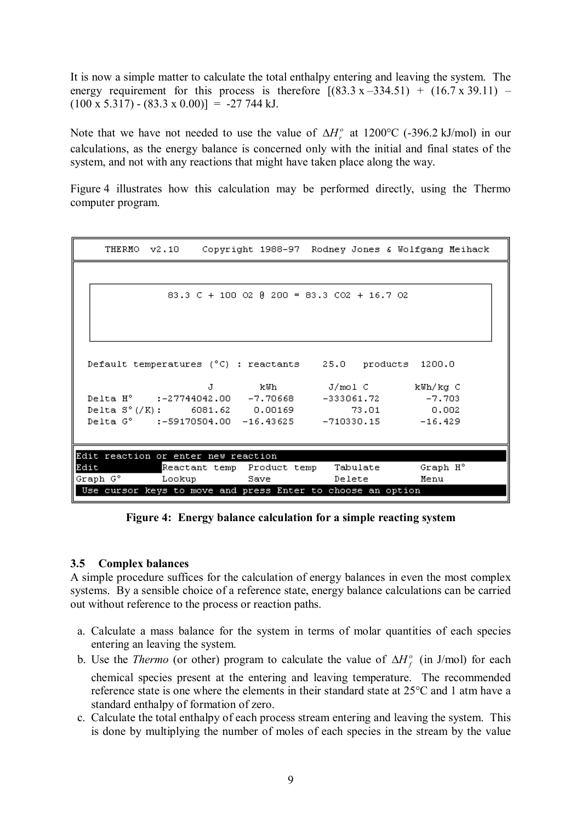It is now a simple matter to calculate the total enthalpy entering and leaving the system. The energy requirement for this process is therefore  $[(83.3 \text{ x} - 334.51) + (16.7 \text{ x} 39.11)$  –  $(100 \times 5.317) - (83.3 \times 0.00)$ ] = -27 744 kJ.

Note that we have not needed to use the value of  $\Delta H_r^{\circ}$  at 1200°C (-396.2 kJ/mol) in our calculations, as the energy balance is concerned only with the initial and final states of the system, and not with any reactions that might have taken place along the way.

Figure 4 illustrates how this calculation may be performed directly, using the Thermo computer program.

|                                                             |        | THERMO v2.10 Copyright 1988-97 Rodney Jones & Wolfgang Meihack |          |
|-------------------------------------------------------------|--------|----------------------------------------------------------------|----------|
|                                                             |        |                                                                |          |
|                                                             |        | 83.3 C + 100 O2 0 200 = 83.3 CO2 + 16.7 O2                     |          |
|                                                             |        |                                                                |          |
|                                                             |        |                                                                |          |
|                                                             |        |                                                                |          |
| Default temperatures (°C) : reactants 25.0 products 1200.0  |        |                                                                |          |
|                                                             |        | J kWh J/molC kWh/kg C                                          |          |
| Delta H° :-27744042.00 -7.70668 -333061.72 -7.703           |        |                                                                |          |
| Delta $S^{\circ}$ (/K): 6081.62 0.00169 73.01 0.002         |        |                                                                |          |
| Delta G° :-59170504.00 -16.43625 -710330.15 -16.429         |        |                                                                |          |
|                                                             |        |                                                                |          |
| Edit reaction or enter new reaction                         |        |                                                                |          |
| Edit                                                        |        | Reactant temp Product temp Tabulate                            | Graph H° |
| Graph G°                                                    | Lookup | Save Delete                                                    | Menu     |
| Use cursor keys to move and press Enter to choose an option |        |                                                                |          |

**Figure 4: Energy balance calculation for a simple reacting system** 

### **3.5 Complex balances**

A simple procedure suffices for the calculation of energy balances in even the most complex systems. By a sensible choice of a reference state, energy balance calculations can be carried out without reference to the process or reaction paths.

- a. Calculate a mass balance for the system in terms of molar quantities of each species entering an leaving the system.
- b. Use the *Thermo* (or other) program to calculate the value of  $\Delta H_f^{\circ}$  (in J/mol) for each chemical species present at the entering and leaving temperature. The recommended reference state is one where the elements in their standard state at 25°C and 1 atm have a standard enthalpy of formation of zero.
- c. Calculate the total enthalpy of each process stream entering and leaving the system. This is done by multiplying the number of moles of each species in the stream by the value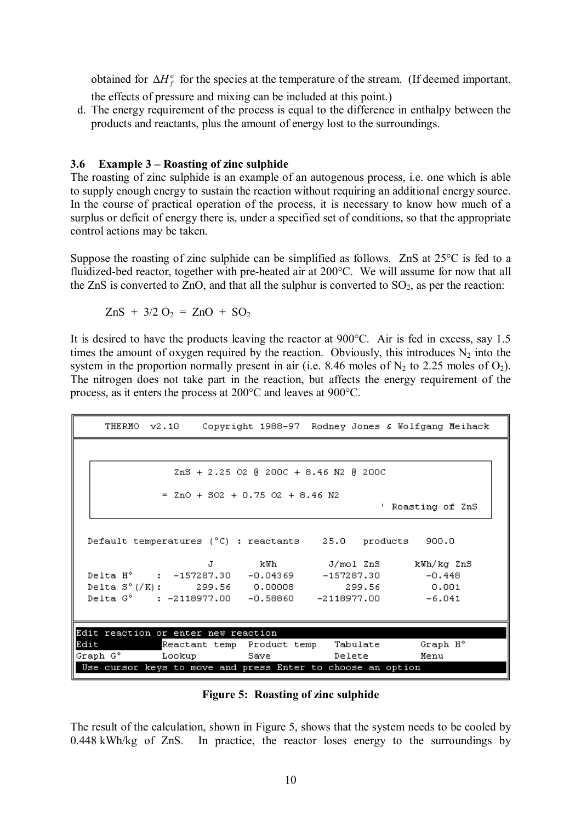obtained for  $\Delta H_f^{\circ}$  for the species at the temperature of the stream. (If deemed important, the effects of pressure and mixing can be included at this point.)

d. The energy requirement of the process is equal to the difference in enthalpy between the products and reactants, plus the amount of energy lost to the surroundings.

#### **3.6 Example 3 – Roasting of zinc sulphide**

The roasting of zinc sulphide is an example of an autogenous process, i.e. one which is able to supply enough energy to sustain the reaction without requiring an additional energy source. In the course of practical operation of the process, it is necessary to know how much of a surplus or deficit of energy there is, under a specified set of conditions, so that the appropriate control actions may be taken.

Suppose the roasting of zinc sulphide can be simplified as follows. ZnS at 25°C is fed to a fluidized-bed reactor, together with pre-heated air at 200°C. We will assume for now that all the ZnS is converted to ZnO, and that all the sulphur is converted to  $SO_2$ , as per the reaction:

$$
ZnS + 3/2 O_2 = ZnO + SO_2
$$

It is desired to have the products leaving the reactor at 900°C. Air is fed in excess, say 1.5 times the amount of oxygen required by the reaction. Obviously, this introduces  $N_2$  into the system in the proportion normally present in air (i.e. 8.46 moles of  $N_2$  to 2.25 moles of  $O_2$ ). The nitrogen does not take part in the reaction, but affects the energy requirement of the process, as it enters the process at 200°C and leaves at 900°C.

|                                                             |                                       |             | THERMO v2.10 Copyright 1988-97 Rodney Jones & Wolfgang Meihack |  |
|-------------------------------------------------------------|---------------------------------------|-------------|----------------------------------------------------------------|--|
|                                                             |                                       |             |                                                                |  |
|                                                             | ZnS + 2.25 O2 @ 200C + 8.46 N2 @ 200C |             |                                                                |  |
|                                                             | $= 2n0 + 502 + 0.75 02 + 8.46 N2$     |             |                                                                |  |
|                                                             |                                       |             | ' Roasting of ZnS                                              |  |
|                                                             |                                       |             | Default temperatures (°C) : reactants 25.0 products 900.0      |  |
|                                                             |                                       |             | J kWh J/mol ZnS kWh/kg ZnS                                     |  |
|                                                             |                                       |             | Delta H° : -157287.30 -0.04369 -157287.30 -0.448               |  |
|                                                             |                                       |             | Delta $S^{\circ}$ (/K): 299.56 0.00008 299.56 0.001            |  |
|                                                             |                                       |             | Delta G° : -2118977.00 -0.58860 -2118977.00 -6.041             |  |
|                                                             |                                       |             |                                                                |  |
| Edit reaction or enter new reaction                         |                                       |             |                                                                |  |
| Edit                                                        |                                       |             | Reactant temp Product temp Tabulate 6raph H°                   |  |
| Graph G° Lookup Lookup                                      |                                       | Save Delete | Menu                                                           |  |
| Use cursor keys to move and press Enter to choose an option |                                       |             |                                                                |  |



The result of the calculation, shown in Figure 5, shows that the system needs to be cooled by 0.448 kWh/kg of ZnS. In practice, the reactor loses energy to the surroundings by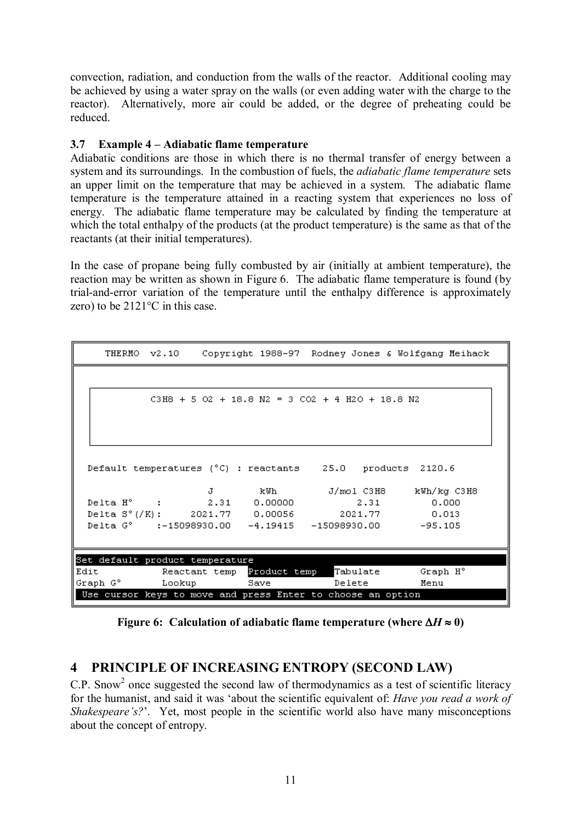convection, radiation, and conduction from the walls of the reactor. Additional cooling may be achieved by using a water spray on the walls (or even adding water with the charge to the reactor). Alternatively, more air could be added, or the degree of preheating could be reduced.

### **3.7 Example 4 – Adiabatic flame temperature**

Adiabatic conditions are those in which there is no thermal transfer of energy between a system and its surroundings. In the combustion of fuels, the *adiabatic flame temperature* sets an upper limit on the temperature that may be achieved in a system. The adiabatic flame temperature is the temperature attained in a reacting system that experiences no loss of energy. The adiabatic flame temperature may be calculated by finding the temperature at which the total enthalpy of the products (at the product temperature) is the same as that of the reactants (at their initial temperatures).

In the case of propane being fully combusted by air (initially at ambient temperature), the reaction may be written as shown in Figure 6. The adiabatic flame temperature is found (by trial-and-error variation of the temperature until the enthalpy difference is approximately zero) to be 2121°C in this case.

|                                               |  |      |                                                             | THERMO v2.10 Copyright 1988-97 Rodney Jones & Wolfgang Meihack |
|-----------------------------------------------|--|------|-------------------------------------------------------------|----------------------------------------------------------------|
|                                               |  |      |                                                             |                                                                |
|                                               |  |      | $C3HB + 5O2 + 18.8 N2 = 3 CO2 + 4 H2O + 18.8 N2$            |                                                                |
|                                               |  |      |                                                             |                                                                |
|                                               |  |      |                                                             |                                                                |
|                                               |  |      |                                                             |                                                                |
|                                               |  |      | Default temperatures (°C) : reactants 25.0 products 2120.6  |                                                                |
|                                               |  |      |                                                             | J kWh J/mol C3H8 kWh/kg C3H8                                   |
|                                               |  |      | Delta H° : 2.31 0.00000 2.31 0.000                          |                                                                |
|                                               |  |      | Delta $S^{\circ}$ (/K): 2021.77 0.00056 2021.77 0.013       |                                                                |
|                                               |  |      | Delta G° :-15098930.00 -4.19415 -15098930.00 -95.105        |                                                                |
|                                               |  |      |                                                             |                                                                |
| Set default product temperature               |  |      |                                                             |                                                                |
| Edit <b>Reactant</b> temp <b>Product</b> temp |  |      | Tabulate                                                    | Graph H°                                                       |
| Graph G° Lookup                               |  | Save | Delete                                                      | Menu                                                           |
|                                               |  |      | Use cursor keys to move and press Enter to choose an option |                                                                |

**Figure** 6: Calculation of adiabatic flame temperature (where  $\Delta H \approx 0$ )

# **4 PRINCIPLE OF INCREASING ENTROPY (SECOND LAW)**

C.P. Snow<sup>2</sup> once suggested the second law of thermodynamics as a test of scientific literacy for the humanist, and said it was 'about the scientific equivalent of: *Have you read a work of Shakespeare's?'.* Yet, most people in the scientific world also have many misconceptions about the concept of entropy.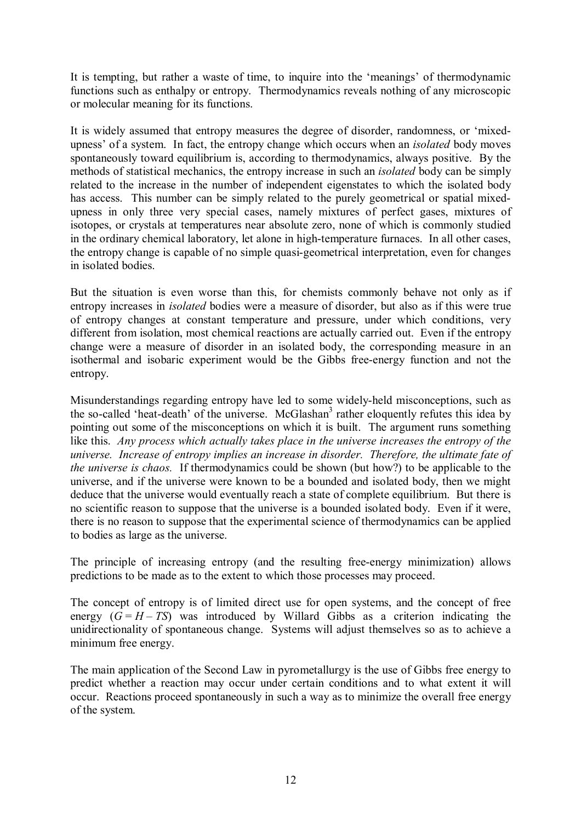It is tempting, but rather a waste of time, to inquire into the 'meanings' of thermodynamic functions such as enthalpy or entropy. Thermodynamics reveals nothing of any microscopic or molecular meaning for its functions.

It is widely assumed that entropy measures the degree of disorder, randomness, or 'mixedupness' of a system. In fact, the entropy change which occurs when an *isolated* body moves spontaneously toward equilibrium is, according to thermodynamics, always positive. By the methods of statistical mechanics, the entropy increase in such an *isolated* body can be simply related to the increase in the number of independent eigenstates to which the isolated body has access. This number can be simply related to the purely geometrical or spatial mixedupness in only three very special cases, namely mixtures of perfect gases, mixtures of isotopes, or crystals at temperatures near absolute zero, none of which is commonly studied in the ordinary chemical laboratory, let alone in high-temperature furnaces. In all other cases, the entropy change is capable of no simple quasi-geometrical interpretation, even for changes in isolated bodies.

But the situation is even worse than this, for chemists commonly behave not only as if entropy increases in *isolated* bodies were a measure of disorder, but also as if this were true of entropy changes at constant temperature and pressure, under which conditions, very different from isolation, most chemical reactions are actually carried out. Even if the entropy change were a measure of disorder in an isolated body, the corresponding measure in an isothermal and isobaric experiment would be the Gibbs free-energy function and not the entropy.

Misunderstandings regarding entropy have led to some widely-held misconceptions, such as the so-called 'heat-death' of the universe. McGlashan<sup>3</sup> rather eloquently refutes this idea by pointing out some of the misconceptions on which it is built. The argument runs something like this. *Any process which actually takes place in the universe increases the entropy of the universe. Increase of entropy implies an increase in disorder. Therefore, the ultimate fate of the universe is chaos.* If thermodynamics could be shown (but how?) to be applicable to the universe, and if the universe were known to be a bounded and isolated body, then we might deduce that the universe would eventually reach a state of complete equilibrium. But there is no scientific reason to suppose that the universe is a bounded isolated body. Even if it were, there is no reason to suppose that the experimental science of thermodynamics can be applied to bodies as large as the universe.

The principle of increasing entropy (and the resulting free-energy minimization) allows predictions to be made as to the extent to which those processes may proceed.

The concept of entropy is of limited direct use for open systems, and the concept of free energy  $(G = H - TS)$  was introduced by Willard Gibbs as a criterion indicating the unidirectionality of spontaneous change. Systems will adjust themselves so as to achieve a minimum free energy.

The main application of the Second Law in pyrometallurgy is the use of Gibbs free energy to predict whether a reaction may occur under certain conditions and to what extent it will occur. Reactions proceed spontaneously in such a way as to minimize the overall free energy of the system.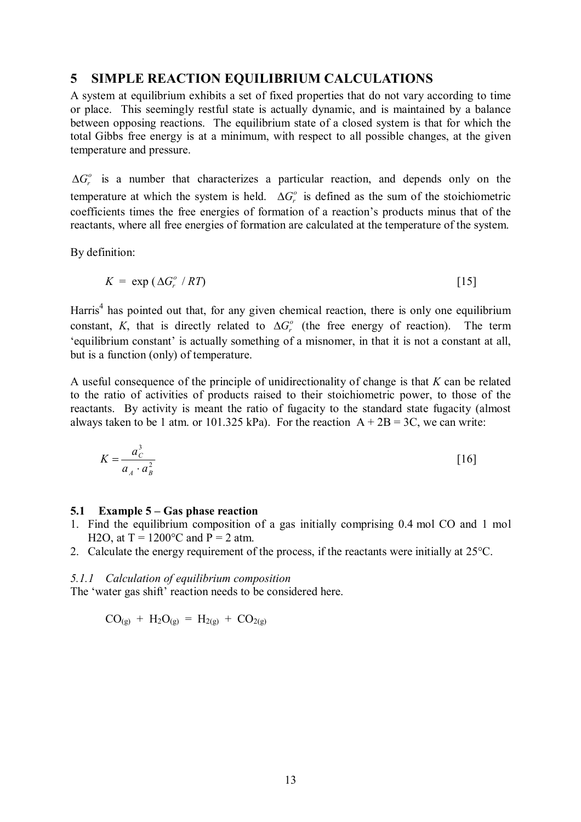### **5 SIMPLE REACTION EQUILIBRIUM CALCULATIONS**

A system at equilibrium exhibits a set of fixed properties that do not vary according to time or place. This seemingly restful state is actually dynamic, and is maintained by a balance between opposing reactions. The equilibrium state of a closed system is that for which the total Gibbs free energy is at a minimum, with respect to all possible changes, at the given temperature and pressure.

 $\Delta G_r^{\circ}$  is a number that characterizes a particular reaction, and depends only on the temperature at which the system is held.  $\Delta G_r^{\circ}$  is defined as the sum of the stoichiometric coefficients times the free energies of formation of a reaction's products minus that of the reactants, where all free energies of formation are calculated at the temperature of the system.

By definition:

$$
K = \exp\left(\Delta G_r^o / RT\right) \tag{15}
$$

Harris<sup>4</sup> has pointed out that, for any given chemical reaction, there is only one equilibrium constant, *K*, that is directly related to  $\Delta G_r^{\circ}$  (the free energy of reaction). The term 'equilibrium constant' is actually something of a misnomer, in that it is not a constant at all, but is a function (only) of temperature.

A useful consequence of the principle of unidirectionality of change is that *K* can be related to the ratio of activities of products raised to their stoichiometric power, to those of the reactants. By activity is meant the ratio of fugacity to the standard state fugacity (almost always taken to be 1 atm. or 101.325 kPa). For the reaction  $A + 2B = 3C$ , we can write:

$$
K = \frac{a_C^3}{a_A \cdot a_B^2} \tag{16}
$$

#### **5.1 Example 5 – Gas phase reaction**

- 1. Find the equilibrium composition of a gas initially comprising 0.4 mol CO and 1 mol H2O, at T =  $1200^{\circ}$ C and P = 2 atm.
- 2. Calculate the energy requirement of the process, if the reactants were initially at 25°C.

#### *5.1.1 Calculation of equilibrium composition*

The 'water gas shift' reaction needs to be considered here.

 $CO_{(g)} + H_2O_{(g)} = H_{2(g)} + CO_{2(g)}$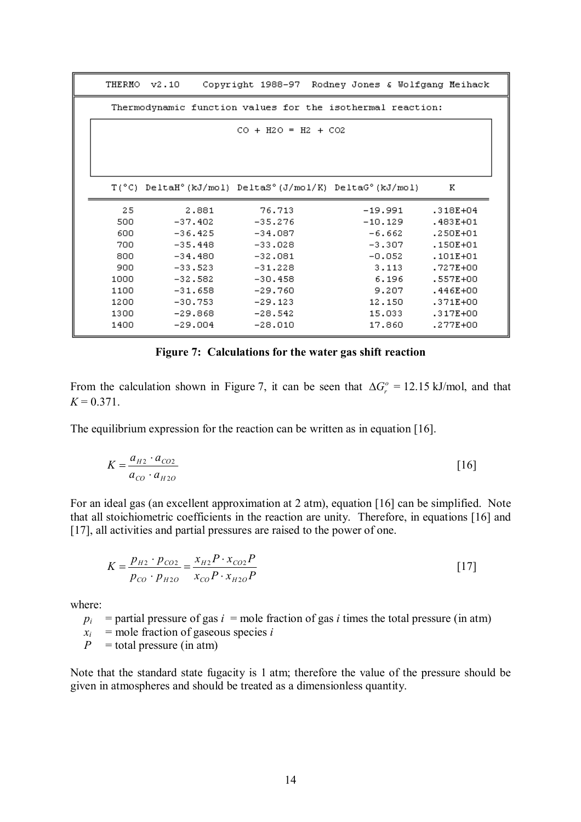|  |      | THERMO v2.10 | Copyright 1988-97 Rodney Jones & Wolfgang Meihack                                                |           |              |
|--|------|--------------|--------------------------------------------------------------------------------------------------|-----------|--------------|
|  |      |              | Thermodynamic function values for the isothermal reaction:                                       |           |              |
|  |      |              | $CO + H2O = H2 + CO2$                                                                            |           |              |
|  |      |              |                                                                                                  |           |              |
|  |      |              |                                                                                                  |           |              |
|  |      |              | $T(^{\circ}C)$ Delta $H^{\circ}$ (kJ/mol) Delta $S^{\circ}$ (J/mol/K) Delta $G^{\circ}$ (kJ/mol) |           | K            |
|  |      |              |                                                                                                  |           |              |
|  | 25   | 2.881        | 76.713                                                                                           | $-19.991$ | .318E+04     |
|  | 500  | $-37.402$    | $-35.276$                                                                                        | $-10.129$ | .483E+01     |
|  | 600  | $-36.425$    | $-34.087$                                                                                        | $-6.662$  | .250E+01     |
|  | 700  | $-35.448$    | $-33.028$                                                                                        | $-3.307$  | $.150E + 01$ |
|  | 800  | $-34.480$    | $-32,081$                                                                                        | $-0.052$  | $.101E + 01$ |
|  | 900  | $-33.523$    | $-31.228$                                                                                        | 3.113     | .727E+00     |
|  | 1000 | $-32.582$    | $-30.458$                                                                                        | 6.196     | .557E+00     |
|  | 1100 | $-31.658$    | $-29.760$                                                                                        | 9.207     | .446E+00     |
|  | 1200 | $-30.753$    | $-29.123$                                                                                        | 12.150    | .371E+00     |
|  | 1300 | $-29.868$    | $-28.542$                                                                                        | 15.033    | $.317E + 00$ |
|  | 1400 | $-29.004$    | $-28.010$                                                                                        | 17.860    | .277E+00     |

**Figure 7: Calculations for the water gas shift reaction** 

From the calculation shown in Figure 7, it can be seen that  $\Delta G_r^{\circ} = 12.15$  kJ/mol, and that  $K = 0.371$ .

The equilibrium expression for the reaction can be written as in equation [16].

$$
K = \frac{a_{H2} \cdot a_{CO2}}{a_{CO} \cdot a_{H2O}} \tag{16}
$$

For an ideal gas (an excellent approximation at 2 atm), equation [16] can be simplified. Note that all stoichiometric coefficients in the reaction are unity. Therefore, in equations [16] and [17], all activities and partial pressures are raised to the power of one.

$$
K = \frac{p_{H2} \cdot p_{CO2}}{p_{CO} \cdot p_{H2O}} = \frac{x_{H2}P \cdot x_{CO2}P}{x_{CO}P \cdot x_{H2O}P}
$$
 [17]

where:

$$
p_i
$$
 = partial pressure of gas  $i$  = mole fraction of gas  $i$  times the total pressure (in atm)

 $x_i$  = mole fraction of gaseous species *i* 

 $P =$ total pressure (in atm)

Note that the standard state fugacity is 1 atm; therefore the value of the pressure should be given in atmospheres and should be treated as a dimensionless quantity.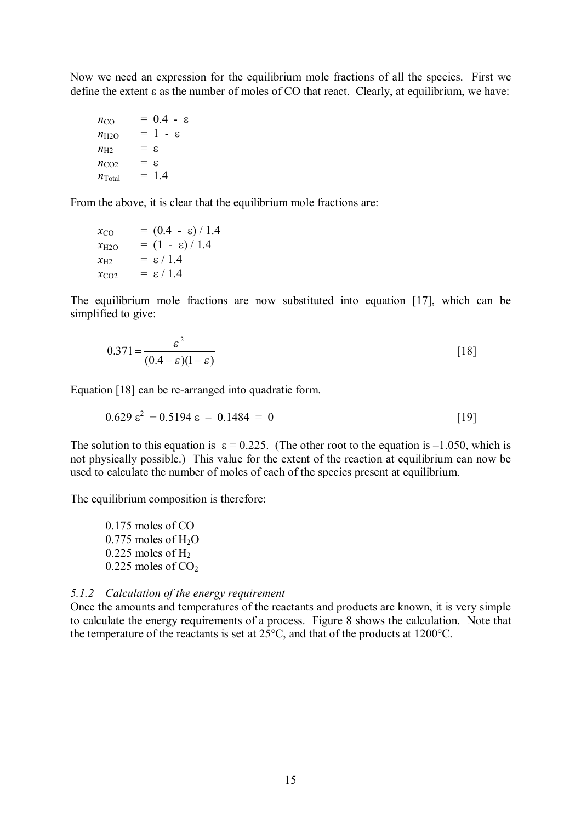Now we need an expression for the equilibrium mole fractions of all the species. First we define the extent  $\varepsilon$  as the number of moles of CO that react. Clearly, at equilibrium, we have:

 $n_{\text{CO}}$  = 0.4 -  $\varepsilon$  $n_{\text{H2O}}$  = 1 -  $\varepsilon$  $n_{\text{H2}}$  =  $\varepsilon$  $n_{\text{CO2}}$  =  $\varepsilon$  $n_{\text{Total}} = 1.4$ 

From the above, it is clear that the equilibrium mole fractions are:

```
x_{\rm CO} = (0.4 - \varepsilon) / 1.4
x_{\text{H2O}} = (1 - \varepsilon) / 1.4x_{H2} = \varepsilon / 1.4x_{CO2} = \epsilon / 1.4
```
The equilibrium mole fractions are now substituted into equation [17], which can be simplified to give:

$$
0.371 = \frac{\varepsilon^2}{(0.4 - \varepsilon)(1 - \varepsilon)}
$$
 [18]

Equation [18] can be re-arranged into quadratic form.

$$
0.629 \, \varepsilon^2 \, +0.5194 \, \varepsilon \, -\, 0.1484 \, =\, 0 \tag{19}
$$

The solution to this equation is  $\varepsilon = 0.225$ . (The other root to the equation is -1.050, which is not physically possible.) This value for the extent of the reaction at equilibrium can now be used to calculate the number of moles of each of the species present at equilibrium.

The equilibrium composition is therefore:

0.175 moles of CO  $0.775$  moles of  $H<sub>2</sub>O$ 0.225 moles of  $H_2$ 0.225 moles of  $CO<sub>2</sub>$ 

#### *5.1.2 Calculation of the energy requirement*

Once the amounts and temperatures of the reactants and products are known, it is very simple to calculate the energy requirements of a process. Figure 8 shows the calculation. Note that the temperature of the reactants is set at 25°C, and that of the products at 1200°C.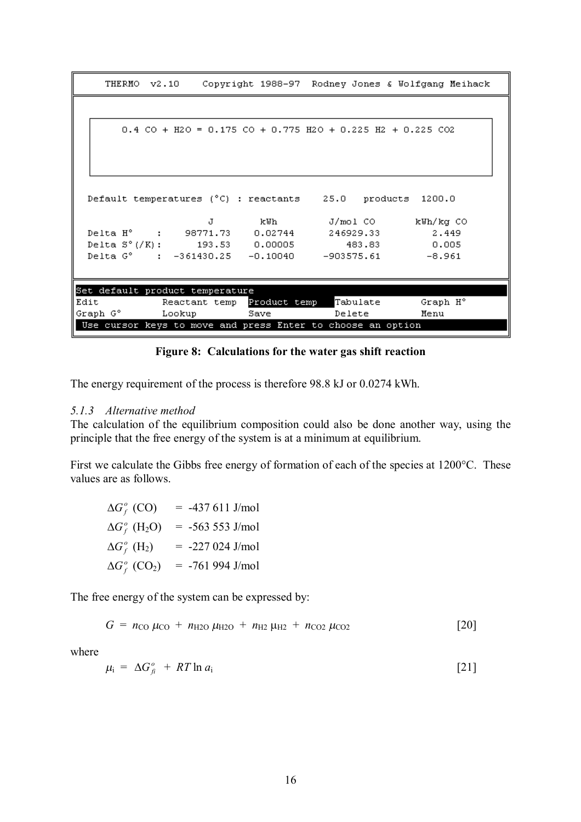| THERMO v2.10                                                |  | Copyright 1988-97 Rodney Jones & Wolfgang Meihack            |  |
|-------------------------------------------------------------|--|--------------------------------------------------------------|--|
|                                                             |  |                                                              |  |
|                                                             |  | $0.4$ CO + H2O = 0.175 CO + 0.775 H2O + 0.225 H2 + 0.225 CO2 |  |
|                                                             |  |                                                              |  |
|                                                             |  |                                                              |  |
|                                                             |  |                                                              |  |
|                                                             |  | Default temperatures (°C) : reactants 25.0 products 1200.0   |  |
|                                                             |  | J kWh J/molCO kWh/kgCO                                       |  |
|                                                             |  | Delta H° : 98771.73  0.02744  246929.33  2.449               |  |
|                                                             |  | Delta S°(/K): 193.53 0.00005 483.83 0.005                    |  |
|                                                             |  | Delta G° : -361430.25 -0.10040 -903575.61 -8.961             |  |
|                                                             |  |                                                              |  |
|                                                             |  |                                                              |  |
| Set default product temperature                             |  |                                                              |  |
| Edit Reactant temp Product temp                             |  | Tabulate<br>Graph H°                                         |  |
| Graph G° Lookup Save                                        |  | Delete<br>Menu                                               |  |
| Use cursor keys to move and press Enter to choose an option |  |                                                              |  |

**Figure 8: Calculations for the water gas shift reaction** 

The energy requirement of the process is therefore 98.8 kJ or 0.0274 kWh.

#### *5.1.3 Alternative method*

The calculation of the equilibrium composition could also be done another way, using the principle that the free energy of the system is at a minimum at equilibrium.

First we calculate the Gibbs free energy of formation of each of the species at 1200 °C. These values are as follows.

| $\Delta G_{f}^{o}$ (CO)                                         | $= -437611$ J/mol |
|-----------------------------------------------------------------|-------------------|
| $\Delta G_f^o$ (H <sub>2</sub> O)                               | $= -56353$ J/mol  |
| $\Delta G^{\textit{o}}_{\textit{f}}\,\left(\text{H}_{2}\right)$ | $= -227024$ J/mol |
| $\Delta G^o_f$ (CO <sub>2</sub> )                               | $= -761994$ J/mol |

The free energy of the system can be expressed by:

$$
G = n_{\text{CO}} \mu_{\text{CO}} + n_{\text{H2O}} \mu_{\text{H2O}} + n_{\text{H2}} \mu_{\text{H2}} + n_{\text{CO2}} \mu_{\text{CO2}} \tag{20}
$$

where

$$
\mu_i = \Delta G_{fi}^o + RT \ln a_i \tag{21}
$$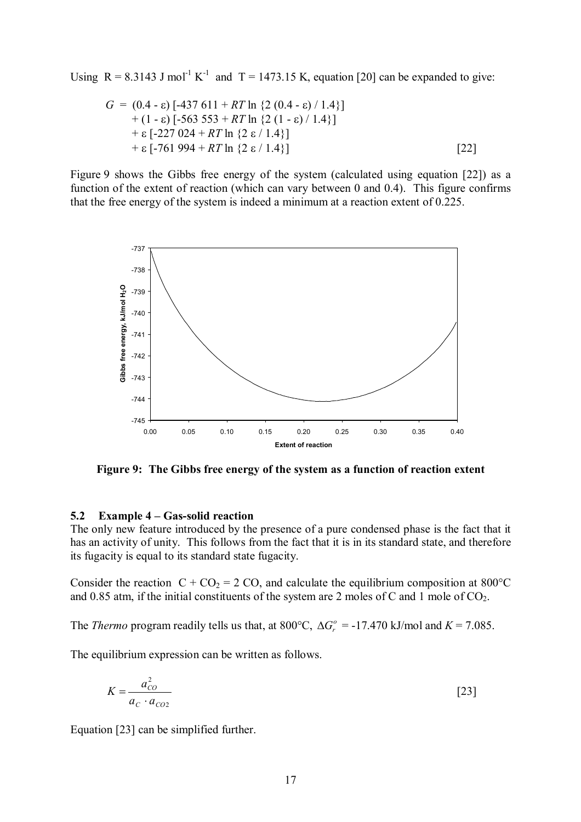Using  $R = 8.3143$  J mol<sup>-1</sup> K<sup>-1</sup> and T = 1473.15 K, equation [20] can be expanded to give:

$$
G = (0.4 - \varepsilon) [-437 611 + RT \ln \{2 (0.4 - \varepsilon) / 1.4\}] + (1 - \varepsilon) [-563 553 + RT \ln \{2 (1 - \varepsilon) / 1.4\}] + \varepsilon [-227 024 + RT \ln \{2 \varepsilon / 1.4\}] + \varepsilon [-761 994 + RT \ln \{2 \varepsilon / 1.4\}]
$$
 [22]

Figure 9 shows the Gibbs free energy of the system (calculated using equation [22]) as a function of the extent of reaction (which can vary between 0 and 0.4). This figure confirms that the free energy of the system is indeed a minimum at a reaction extent of 0.225.



**Figure 9: The Gibbs free energy of the system as a function of reaction extent** 

#### **5.2 Example 4 – Gas-solid reaction**

The only new feature introduced by the presence of a pure condensed phase is the fact that it has an activity of unity. This follows from the fact that it is in its standard state, and therefore its fugacity is equal to its standard state fugacity.

Consider the reaction  $C + CO_2 = 2 CO$ , and calculate the equilibrium composition at 800°C and 0.85 atm, if the initial constituents of the system are 2 moles of C and 1 mole of  $CO<sub>2</sub>$ .

The *Thermo* program readily tells us that, at 800°C,  $\Delta G_r^{\circ} = -17.470$  kJ/mol and  $K = 7.085$ .

The equilibrium expression can be written as follows.

$$
K = \frac{a_{CO}^2}{a_C \cdot a_{CO2}} \tag{23}
$$

Equation [23] can be simplified further.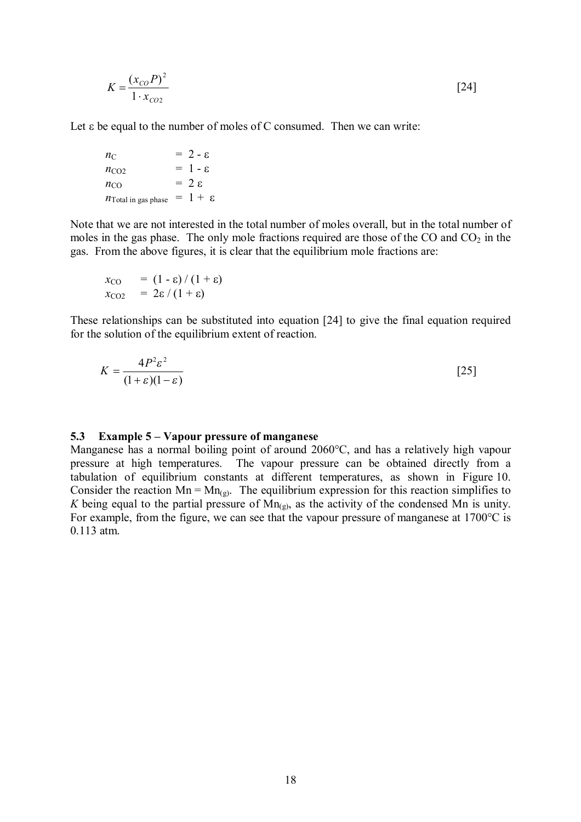$$
K = \frac{(x_{CO}P)^2}{1 \cdot x_{CO2}} \tag{24}
$$

Let  $\varepsilon$  be equal to the number of moles of C consumed. Then we can write:

$$
n_{\text{CO2}} = 2 - \varepsilon
$$
  
\n
$$
n_{\text{CO2}} = 1 - \varepsilon
$$
  
\n
$$
n_{\text{CO}} = 2 \varepsilon
$$
  
\n
$$
n_{\text{Total in gas phase}} = 1 + \varepsilon
$$

Note that we are not interested in the total number of moles overall, but in the total number of moles in the gas phase. The only mole fractions required are those of the  $CO$  and  $CO<sub>2</sub>$  in the gas. From the above figures, it is clear that the equilibrium mole fractions are:

$$
x_{\text{CO}} = (1 - \varepsilon) / (1 + \varepsilon)
$$
  

$$
x_{\text{CO2}} = 2\varepsilon / (1 + \varepsilon)
$$

These relationships can be substituted into equation [24] to give the final equation required for the solution of the equilibrium extent of reaction.

$$
K = \frac{4P^2\varepsilon^2}{(1+\varepsilon)(1-\varepsilon)}
$$
 [25]

#### **5.3 Example 5 – Vapour pressure of manganese**

Manganese has a normal boiling point of around 2060°C, and has a relatively high vapour pressure at high temperatures. The vapour pressure can be obtained directly from a tabulation of equilibrium constants at different temperatures, as shown in Figure 10. Consider the reaction  $Mn = Mn_{(g)}$ . The equilibrium expression for this reaction simplifies to *K* being equal to the partial pressure of  $\text{Mn}_{\text{(g)}}$ , as the activity of the condensed Mn is unity. For example, from the figure, we can see that the vapour pressure of manganese at 1700 °C is 0.113 atm.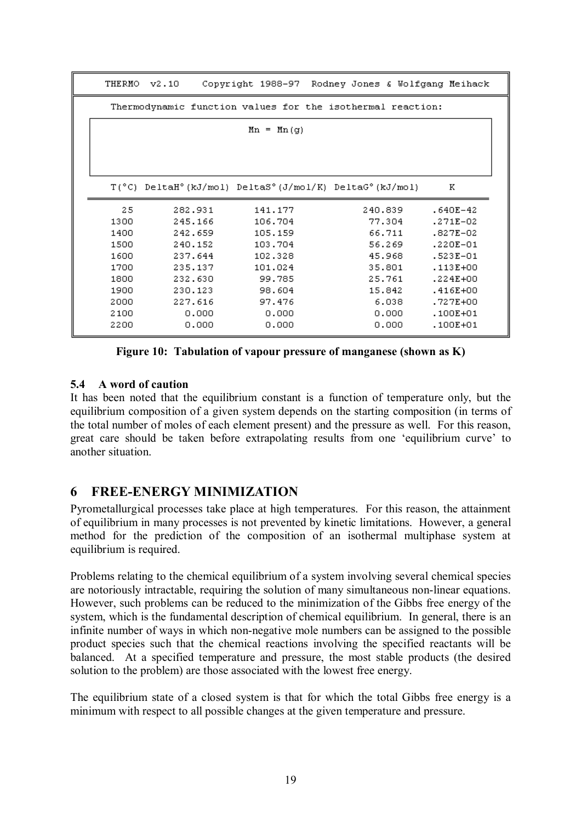| THERMO | v2.10   | Copyright 1988-97 Rodney Jones & Wolfgang Meihack                                                |         |              |  |
|--------|---------|--------------------------------------------------------------------------------------------------|---------|--------------|--|
|        |         | Thermodynamic function values for the isothermal reaction:                                       |         |              |  |
|        |         | $Mn = Mn(q)$                                                                                     |         |              |  |
|        |         |                                                                                                  |         |              |  |
|        |         |                                                                                                  |         |              |  |
|        |         | $T(^{\circ}C)$ DeltaH $^{\circ}$ (kJ/mol) DeltaS $^{\circ}$ (J/mol/K) DeltaG $^{\circ}$ (kJ/mol) |         | К            |  |
| 25     | 282.931 | 141.177                                                                                          | 240.839 | .640E-42     |  |
| 1300   | 245.166 | 106.704                                                                                          | 77.304  | $.271E - 02$ |  |
| 1400   | 242.659 | 105.159                                                                                          | 66.711  | $.827E - 02$ |  |
| 1500   | 240.152 | 103,704                                                                                          | 56.269  | .220E-01     |  |
| 1600   | 237.644 | 102.328                                                                                          | 45.968  | $.523E - 01$ |  |
| 1700   | 235.137 | 101.024                                                                                          | 35,801  | $.113E + 00$ |  |
| 1800   | 232.630 | 99.785                                                                                           | 25.761  | .224E+00     |  |
| 1900   | 230.123 | 98.604                                                                                           | 15.842  | .416E+00     |  |
| 2000   | 227.616 | 97.476                                                                                           | 6.038   | .727E+00     |  |
| 2100   | 0.000   | 0.000                                                                                            | 0.000   | .100E+01     |  |
| 2200   | 0.000   | 0.000                                                                                            | 0.000   | $.100E + 01$ |  |

**Figure 10: Tabulation of vapour pressure of manganese (shown as K)** 

### **5.4 A word of caution**

It has been noted that the equilibrium constant is a function of temperature only, but the equilibrium composition of a given system depends on the starting composition (in terms of the total number of moles of each element present) and the pressure as well. For this reason, great care should be taken before extrapolating results from one 'equilibrium curve' to another situation.

# **6 FREE-ENERGY MINIMIZATION**

Pyrometallurgical processes take place at high temperatures. For this reason, the attainment of equilibrium in many processes is not prevented by kinetic limitations. However, a general method for the prediction of the composition of an isothermal multiphase system at equilibrium is required.

Problems relating to the chemical equilibrium of a system involving several chemical species are notoriously intractable, requiring the solution of many simultaneous non-linear equations. However, such problems can be reduced to the minimization of the Gibbs free energy of the system, which is the fundamental description of chemical equilibrium. In general, there is an infinite number of ways in which non-negative mole numbers can be assigned to the possible product species such that the chemical reactions involving the specified reactants will be balanced. At a specified temperature and pressure, the most stable products (the desired solution to the problem) are those associated with the lowest free energy.

The equilibrium state of a closed system is that for which the total Gibbs free energy is a minimum with respect to all possible changes at the given temperature and pressure.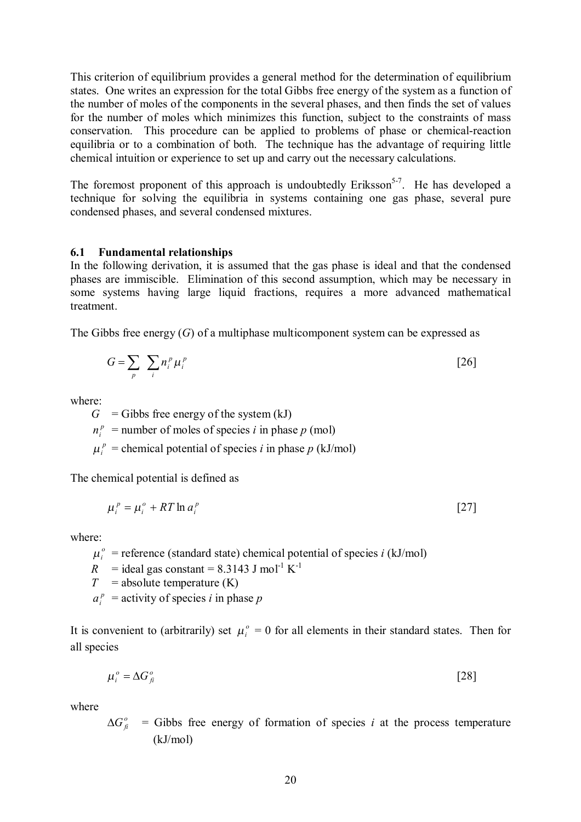This criterion of equilibrium provides a general method for the determination of equilibrium states. One writes an expression for the total Gibbs free energy of the system as a function of the number of moles of the components in the several phases, and then finds the set of values for the number of moles which minimizes this function, subject to the constraints of mass conservation. This procedure can be applied to problems of phase or chemical-reaction equilibria or to a combination of both. The technique has the advantage of requiring little chemical intuition or experience to set up and carry out the necessary calculations.

The foremost proponent of this approach is undoubtedly Eriksson<sup>5-7</sup>. He has developed a technique for solving the equilibria in systems containing one gas phase, several pure condensed phases, and several condensed mixtures.

#### **6.1 Fundamental relationships**

In the following derivation, it is assumed that the gas phase is ideal and that the condensed phases are immiscible. Elimination of this second assumption, which may be necessary in some systems having large liquid fractions, requires a more advanced mathematical treatment.

The Gibbs free energy (*G*) of a multiphase multicomponent system can be expressed as

$$
G = \sum_{p} \sum_{i} n_i^p \mu_i^p \tag{26}
$$

where:

 $G =$  Gibbs free energy of the system  $(kJ)$ *p*  $n_i^p$  = number of moles of species *i* in phase *p* (mol)  $\mu_i^p$  = chemical potential of species *i* in phase *p* (kJ/mol)

The chemical potential is defined as

$$
\mu_i^p = \mu_i^o + RT \ln a_i^p \tag{27}
$$

where:

- $\mu_i^o$  = reference (standard state) chemical potential of species *i* (kJ/mol)
- $R$  = ideal gas constant = 8.3143 J mol<sup>-1</sup> K<sup>-1</sup>
- $T =$ absolute temperature (K)
- *p*  $a_i^p$  = activity of species *i* in phase *p*

It is convenient to (arbitrarily) set  $\mu_i^o = 0$  for all elements in their standard states. Then for all species

$$
\mu_i^o = \Delta G_{fi}^o \tag{28}
$$

where

$$
\Delta G_{fi}^{\circ}
$$
 = Gibbs free energy of formation of species *i* at the process temperature (kJ/mol)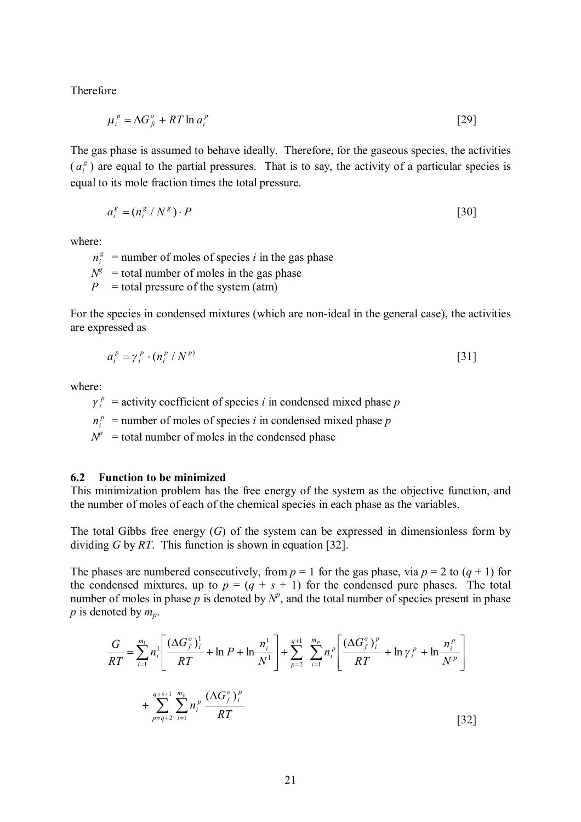Therefore

$$
\mu_i^p = \Delta G_{fi}^o + RT \ln a_i^p \tag{29}
$$

The gas phase is assumed to behave ideally. Therefore, for the gaseous species, the activities  $(a_i^g)$  $a_i^g$ ) are equal to the partial pressures. That is to say, the activity of a particular species is equal to its mole fraction times the total pressure.

$$
a_i^g = (n_i^g / N^g) \cdot P \tag{30}
$$

where:

*g*  $n_i^g$  = number of moles of species *i* in the gas phase

 $N^g$  = total number of moles in the gas phase

 $P =$  total pressure of the system (atm)

For the species in condensed mixtures (which are non-ideal in the general case), the activities are expressed as

$$
a_i^p = \gamma_i^p \cdot (n_i^p / N^p) \tag{31}
$$

where:

*p*  $\gamma_i^p$  = activity coefficient of species *i* in condensed mixed phase *p* 

*p*  $n_i^p$  = number of moles of species *i* in condensed mixed phase *p* 

 $N^p$  = total number of moles in the condensed phase

#### **6.2 Function to be minimized**

This minimization problem has the free energy of the system as the objective function, and the number of moles of each of the chemical species in each phase as the variables.

The total Gibbs free energy (*G*) of the system can be expressed in dimensionless form by dividing *G* by *RT*. This function is shown in equation [32].

The phases are numbered consecutively, from  $p = 1$  for the gas phase, via  $p = 2$  to  $(q + 1)$  for the condensed mixtures, up to  $p = (q + s + 1)$  for the condensed pure phases. The total number of moles in phase  $p$  is denoted by  $N^p$ , and the total number of species present in phase  $p$  is denoted by  $m_p$ .

$$
\frac{G}{RT} = \sum_{i=1}^{m_1} n_i^1 \left[ \frac{(\Delta G_f^o)^1_i}{RT} + \ln P + \ln \frac{n_i^1}{N^1} \right] + \sum_{p=2}^{q+1} \sum_{i=1}^{m_p} n_i^p \left[ \frac{(\Delta G_f^o)^p_i}{RT} + \ln \gamma_i^p + \ln \frac{n_i^p}{N^p} \right] + \sum_{p=q+2}^{q+s+1} \sum_{i=1}^{m_p} n_i^p \frac{(\Delta G_f^o)^p_i}{RT}
$$
\n[32]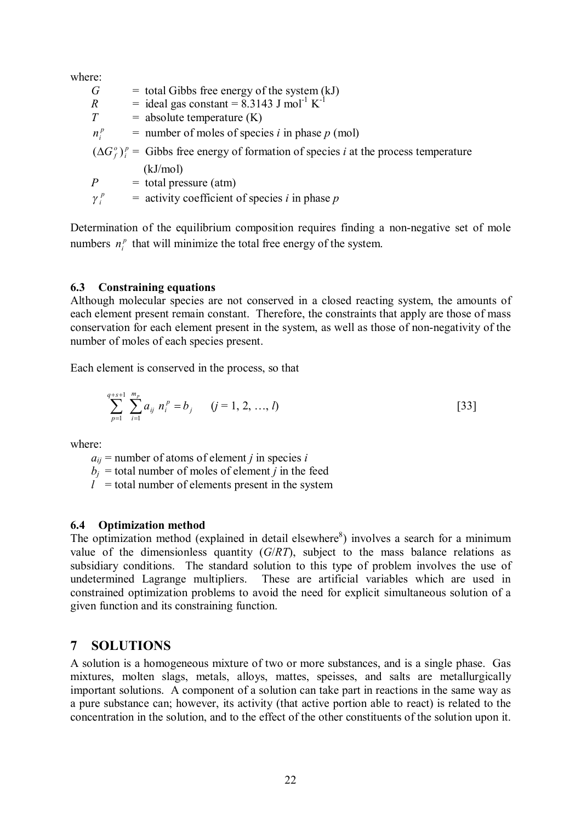where:

*i*

| G              |                                                                                                                     |
|----------------|---------------------------------------------------------------------------------------------------------------------|
| $\overline{R}$ | = total Gibbs free energy of the system (kJ)<br>= ideal gas constant = $8.3143$ J mol <sup>-1</sup> K <sup>-1</sup> |
| T              | $=$ absolute temperature $(K)$                                                                                      |
| $n_i^P$        | $=$ number of moles of species <i>i</i> in phase <i>p</i> (mol)                                                     |
|                | $(\Delta G_f^o)^p =$ Gibbs free energy of formation of species <i>i</i> at the process temperature                  |
|                | (kJ/mol)                                                                                                            |
|                | $=$ total pressure (atm)                                                                                            |
| $\lambda$ . P  | $=$ activity exacting the consider $i$ in phase $r$                                                                 |

 $=$  activity coefficient of species *i* in phase *p* 

Determination of the equilibrium composition requires finding a non-negative set of mole numbers  $n_i^p$  that will minimize the total free energy of the system.

#### **6.3 Constraining equations**

Although molecular species are not conserved in a closed reacting system, the amounts of each element present remain constant. Therefore, the constraints that apply are those of mass conservation for each element present in the system, as well as those of non-negativity of the number of moles of each species present.

Each element is conserved in the process, so that

$$
\sum_{p=1}^{q+s+1} \sum_{i=1}^{m_p} a_{ij} \; n_i^p = b_j \qquad (j = 1, 2, ..., l)
$$

where:

 $a_{ij}$  = number of atoms of element *j* in species *i* 

 $b_j$  = total number of moles of element *j* in the feed

 $l =$  total number of elements present in the system

#### **6.4 Optimization method**

The optimization method (explained in detail elsewhere<sup>8</sup>) involves a search for a minimum value of the dimensionless quantity (*G*/*RT*), subject to the mass balance relations as subsidiary conditions. The standard solution to this type of problem involves the use of undetermined Lagrange multipliers. These are artificial variables which are used in constrained optimization problems to avoid the need for explicit simultaneous solution of a given function and its constraining function.

### **7 SOLUTIONS**

A solution is a homogeneous mixture of two or more substances, and is a single phase. Gas mixtures, molten slags, metals, alloys, mattes, speisses, and salts are metallurgically important solutions. A component of a solution can take part in reactions in the same way as a pure substance can; however, its activity (that active portion able to react) is related to the concentration in the solution, and to the effect of the other constituents of the solution upon it.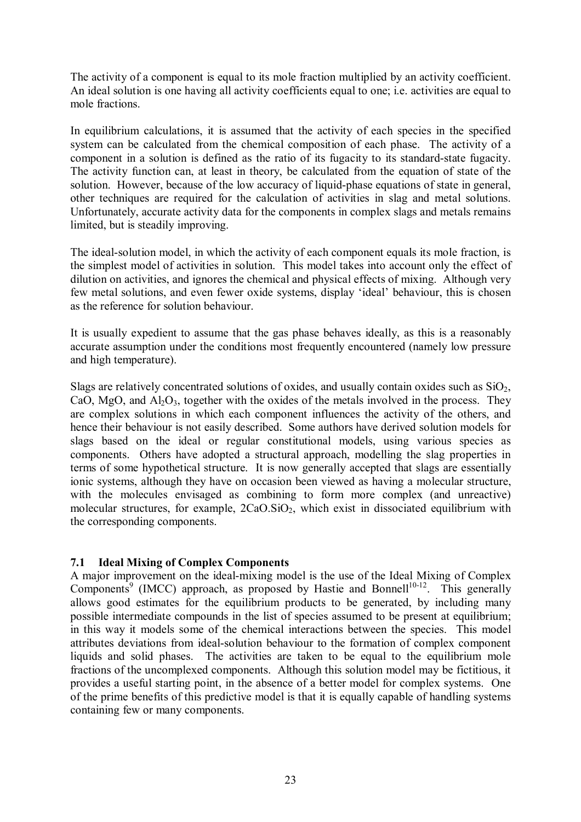The activity of a component is equal to its mole fraction multiplied by an activity coefficient. An ideal solution is one having all activity coefficients equal to one; i.e. activities are equal to mole fractions.

In equilibrium calculations, it is assumed that the activity of each species in the specified system can be calculated from the chemical composition of each phase. The activity of a component in a solution is defined as the ratio of its fugacity to its standard-state fugacity. The activity function can, at least in theory, be calculated from the equation of state of the solution. However, because of the low accuracy of liquid-phase equations of state in general, other techniques are required for the calculation of activities in slag and metal solutions. Unfortunately, accurate activity data for the components in complex slags and metals remains limited, but is steadily improving.

The ideal-solution model, in which the activity of each component equals its mole fraction, is the simplest model of activities in solution. This model takes into account only the effect of dilution on activities, and ignores the chemical and physical effects of mixing. Although very few metal solutions, and even fewer oxide systems, display 'ideal' behaviour, this is chosen as the reference for solution behaviour.

It is usually expedient to assume that the gas phase behaves ideally, as this is a reasonably accurate assumption under the conditions most frequently encountered (namely low pressure and high temperature).

Slags are relatively concentrated solutions of oxides, and usually contain oxides such as  $SiO<sub>2</sub>$ , CaO, MgO, and  $A<sub>12</sub>O<sub>3</sub>$ , together with the oxides of the metals involved in the process. They are complex solutions in which each component influences the activity of the others, and hence their behaviour is not easily described. Some authors have derived solution models for slags based on the ideal or regular constitutional models, using various species as components. Others have adopted a structural approach, modelling the slag properties in terms of some hypothetical structure. It is now generally accepted that slags are essentially ionic systems, although they have on occasion been viewed as having a molecular structure, with the molecules envisaged as combining to form more complex (and unreactive) molecular structures, for example,  $2CaO.SiO<sub>2</sub>$ , which exist in dissociated equilibrium with the corresponding components.

### **7.1 Ideal Mixing of Complex Components**

A major improvement on the ideal-mixing model is the use of the Ideal Mixing of Complex Components<sup>9</sup> (IMCC) approach, as proposed by Hastie and Bonnell<sup>10-12</sup>. This generally allows good estimates for the equilibrium products to be generated, by including many possible intermediate compounds in the list of species assumed to be present at equilibrium; in this way it models some of the chemical interactions between the species. This model attributes deviations from ideal-solution behaviour to the formation of complex component liquids and solid phases. The activities are taken to be equal to the equilibrium mole fractions of the uncomplexed components. Although this solution model may be fictitious, it provides a useful starting point, in the absence of a better model for complex systems. One of the prime benefits of this predictive model is that it is equally capable of handling systems containing few or many components.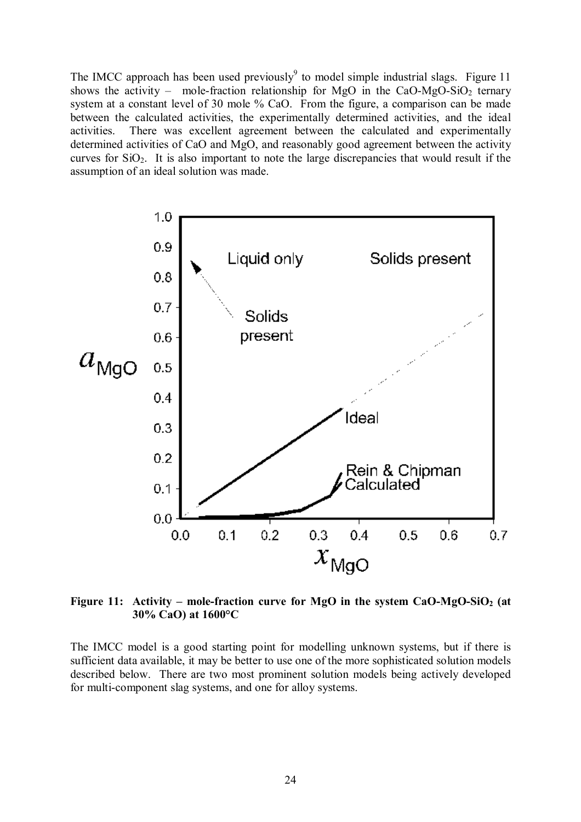The IMCC approach has been used previously<sup>9</sup> to model simple industrial slags. Figure 11 shows the activity – mole-fraction relationship for MgO in the CaO-MgO-SiO<sub>2</sub> ternary system at a constant level of 30 mole % CaO. From the figure, a comparison can be made between the calculated activities, the experimentally determined activities, and the ideal activities. There was excellent agreement between the calculated and experimentally determined activities of CaO and MgO, and reasonably good agreement between the activity curves for  $SiO<sub>2</sub>$ . It is also important to note the large discrepancies that would result if the assumption of an ideal solution was made.



**Figure 11: Activity – mole-fraction curve for MgO in the system CaO-MgO-SiO<sup>2</sup> (at 30% CaO) at 1600°C** 

The IMCC model is a good starting point for modelling unknown systems, but if there is sufficient data available, it may be better to use one of the more sophisticated solution models described below. There are two most prominent solution models being actively developed for multi-component slag systems, and one for alloy systems.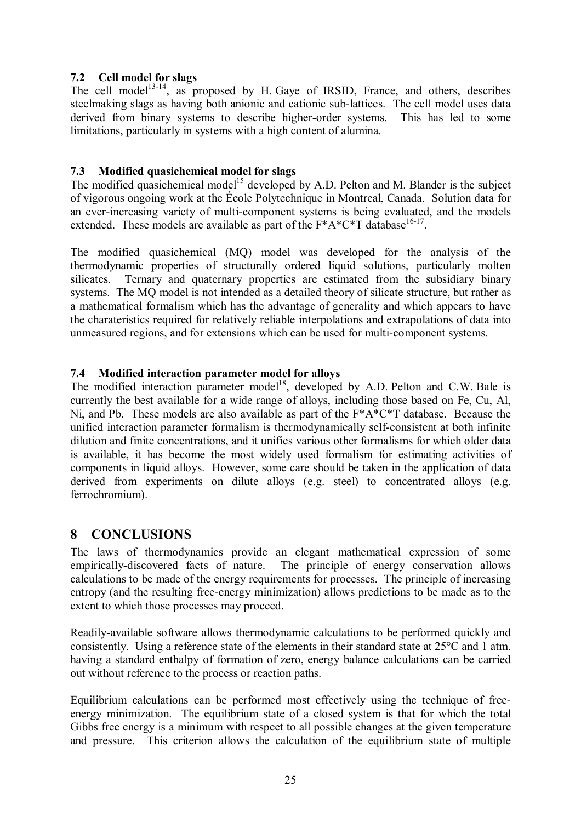### **7.2 Cell model for slags**

The cell model<sup>13-14</sup>, as proposed by H. Gaye of IRSID, France, and others, describes steelmaking slags as having both anionic and cationic sub-lattices. The cell model uses data derived from binary systems to describe higher-order systems. This has led to some limitations, particularly in systems with a high content of alumina.

### **7.3 Modified quasichemical model for slags**

The modified quasichemical model<sup>15</sup> developed by A.D. Pelton and M. Blander is the subject of vigorous ongoing work at the École Polytechnique in Montreal, Canada. Solution data for an ever-increasing variety of multi-component systems is being evaluated, and the models extended. These models are available as part of the  $F^*A^*C^*T$  database<sup>16-17</sup>.

The modified quasichemical (MQ) model was developed for the analysis of the thermodynamic properties of structurally ordered liquid solutions, particularly molten silicates. Ternary and quaternary properties are estimated from the subsidiary binary systems. The MQ model is not intended as a detailed theory of silicate structure, but rather as a mathematical formalism which has the advantage of generality and which appears to have the charateristics required for relatively reliable interpolations and extrapolations of data into unmeasured regions, and for extensions which can be used for multi-component systems.

### **7.4 Modified interaction parameter model for alloys**

The modified interaction parameter model<sup>18</sup>, developed by A.D. Pelton and C.W. Bale is currently the best available for a wide range of alloys, including those based on Fe, Cu, Al, Ni, and Pb. These models are also available as part of the F\*A\*C\*T database. Because the unified interaction parameter formalism is thermodynamically self-consistent at both infinite dilution and finite concentrations, and it unifies various other formalisms for which older data is available, it has become the most widely used formalism for estimating activities of components in liquid alloys. However, some care should be taken in the application of data derived from experiments on dilute alloys (e.g. steel) to concentrated alloys (e.g. ferrochromium).

# **8 CONCLUSIONS**

The laws of thermodynamics provide an elegant mathematical expression of some empirically-discovered facts of nature. The principle of energy conservation allows calculations to be made of the energy requirements for processes. The principle of increasing entropy (and the resulting free-energy minimization) allows predictions to be made as to the extent to which those processes may proceed.

Readily-available software allows thermodynamic calculations to be performed quickly and consistently. Using a reference state of the elements in their standard state at 25°C and 1 atm. having a standard enthalpy of formation of zero, energy balance calculations can be carried out without reference to the process or reaction paths.

Equilibrium calculations can be performed most effectively using the technique of freeenergy minimization. The equilibrium state of a closed system is that for which the total Gibbs free energy is a minimum with respect to all possible changes at the given temperature and pressure. This criterion allows the calculation of the equilibrium state of multiple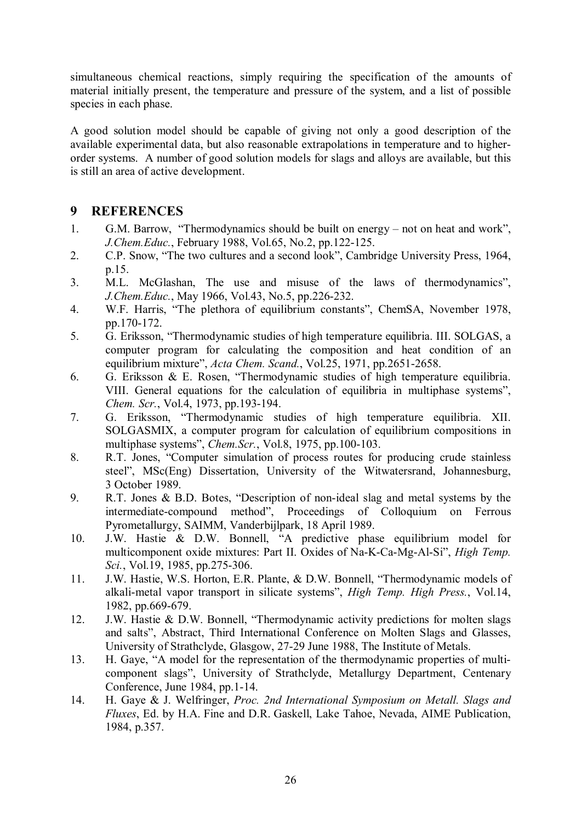simultaneous chemical reactions, simply requiring the specification of the amounts of material initially present, the temperature and pressure of the system, and a list of possible species in each phase.

A good solution model should be capable of giving not only a good description of the available experimental data, but also reasonable extrapolations in temperature and to higherorder systems. A number of good solution models for slags and alloys are available, but this is still an area of active development.

## **9 REFERENCES**

- 1. G.M. Barrow, "Thermodynamics should be built on energy not on heat and work", *J.Chem.Educ.*, February 1988, Vol.65, No.2, pp.122-125.
- 2. C.P. Snow, "The two cultures and a second look", Cambridge University Press, 1964, p.15.
- 3. M.L. McGlashan, The use and misuse of the laws of thermodynamics", *J.Chem.Educ.*, May 1966, Vol.43, No.5, pp.226-232.
- 4. W.F. Harris, "The plethora of equilibrium constants", ChemSA, November 1978, pp.170-172.
- 5. G. Eriksson, "Thermodynamic studies of high temperature equilibria. III. SOLGAS, a computer program for calculating the composition and heat condition of an equilibrium mixture", *Acta Chem. Scand.*, Vol.25, 1971, pp.2651-2658.
- 6. G. Eriksson & E. Rosen, "Thermodynamic studies of high temperature equilibria. VIII. General equations for the calculation of equilibria in multiphase systems", *Chem. Scr.*, Vol.4, 1973, pp.193-194.
- 7. G. Eriksson, "Thermodynamic studies of high temperature equilibria. XII. SOLGASMIX, a computer program for calculation of equilibrium compositions in multiphase systems", *Chem.Scr.*, Vol.8, 1975, pp.100-103.
- 8. R.T. Jones, "Computer simulation of process routes for producing crude stainless steel", MSc(Eng) Dissertation, University of the Witwatersrand, Johannesburg, 3 October 1989.
- 9. R.T. Jones & B.D. Botes, "Description of non-ideal slag and metal systems by the intermediate-compound method", Proceedings of Colloquium on Ferrous Pyrometallurgy, SAIMM, Vanderbijlpark, 18 April 1989.
- 10. J.W. Hastie & D.W. Bonnell, "A predictive phase equilibrium model for multicomponent oxide mixtures: Part II. Oxides of Na-K-Ca-Mg-Al-Si", *High Temp. Sci.*, Vol.19, 1985, pp.275-306.
- 11. J.W. Hastie, W.S. Horton, E.R. Plante, & D.W. Bonnell, "Thermodynamic models of alkali-metal vapor transport in silicate systems", *High Temp. High Press.*, Vol.14, 1982, pp.669-679.
- 12. J.W. Hastie & D.W. Bonnell, "Thermodynamic activity predictions for molten slags and salts", Abstract, Third International Conference on Molten Slags and Glasses, University of Strathclyde, Glasgow, 27-29 June 1988, The Institute of Metals.
- 13. H. Gaye, "A model for the representation of the thermodynamic properties of multicomponent slags", University of Strathclyde, Metallurgy Department, Centenary Conference, June 1984, pp.1-14.
- 14. H. Gaye & J. Welfringer, *Proc. 2nd International Symposium on Metall. Slags and Fluxes*, Ed. by H.A. Fine and D.R. Gaskell, Lake Tahoe, Nevada, AIME Publication, 1984, p.357.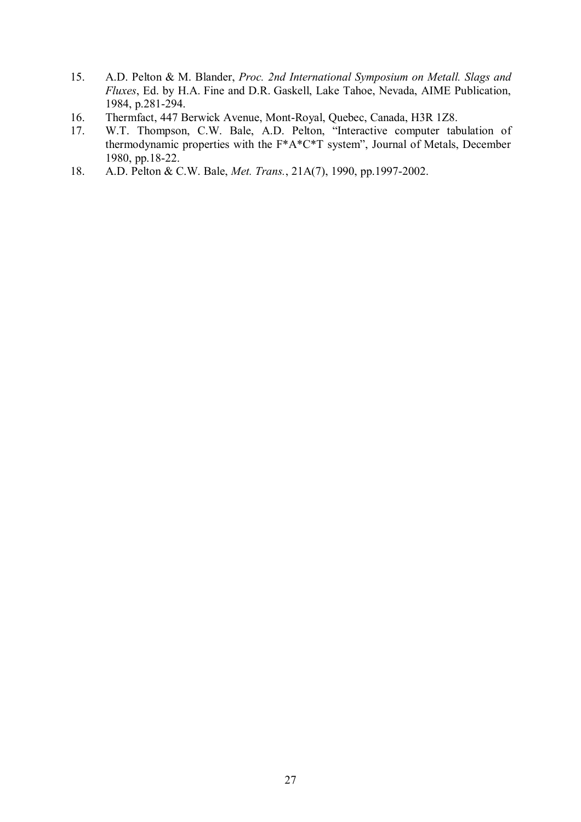- 15. A.D. Pelton & M. Blander, *Proc. 2nd International Symposium on Metall. Slags and Fluxes*, Ed. by H.A. Fine and D.R. Gaskell, Lake Tahoe, Nevada, AIME Publication, 1984, p.281-294.
- 16. Thermfact, 447 Berwick Avenue, Mont-Royal, Quebec, Canada, H3R 1Z8.
- 17. W.T. Thompson, C.W. Bale, A.D. Pelton, "Interactive computer tabulation of thermodynamic properties with the F\*A\*C\*T system", Journal of Metals, December 1980, pp.18-22.
- 18. A.D. Pelton & C.W. Bale, *Met. Trans.*, 21A(7), 1990, pp.1997-2002.